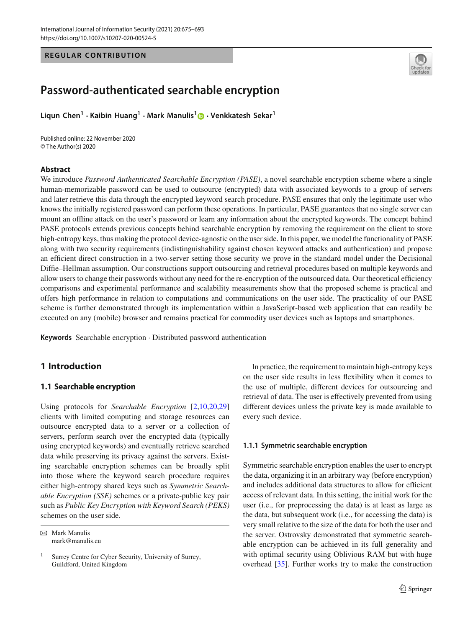# **REGULAR CONTRIBUTION**



# **Password-authenticated searchable encryption**

**Liqun Chen1 · Kaibin Huang1 · Mark Manulis[1](http://orcid.org/0000-0002-1512-9670) · Venkkatesh Sekar1**

Published online: 22 November 2020 © The Author(s) 2020

## **Abstract**

We introduce *Password Authenticated Searchable Encryption (PASE)*, a novel searchable encryption scheme where a single human-memorizable password can be used to outsource (encrypted) data with associated keywords to a group of servers and later retrieve this data through the encrypted keyword search procedure. PASE ensures that only the legitimate user who knows the initially registered password can perform these operations. In particular, PASE guarantees that no single server can mount an offline attack on the user's password or learn any information about the encrypted keywords. The concept behind PASE protocols extends previous concepts behind searchable encryption by removing the requirement on the client to store high-entropy keys, thus making the protocol device-agnostic on the user side. In this paper, we model the functionality of PASE along with two security requirements (indistinguishability against chosen keyword attacks and authentication) and propose an efficient direct construction in a two-server setting those security we prove in the standard model under the Decisional Diffie–Hellman assumption. Our constructions support outsourcing and retrieval procedures based on multiple keywords and allow users to change their passwords without any need for the re-encryption of the outsourced data. Our theoretical efficiency comparisons and experimental performance and scalability measurements show that the proposed scheme is practical and offers high performance in relation to computations and communications on the user side. The practicality of our PASE scheme is further demonstrated through its implementation within a JavaScript-based web application that can readily be executed on any (mobile) browser and remains practical for commodity user devices such as laptops and smartphones.

**Keywords** Searchable encryption · Distributed password authentication

# **1 Introduction**

# **1.1 Searchable encryption**

Using protocols for *Searchable Encryption* [\[2](#page-17-0)[,10](#page-18-0)[,20](#page-18-1)[,29\]](#page-18-2) clients with limited computing and storage resources can outsource encrypted data to a server or a collection of servers, perform search over the encrypted data (typically using encrypted keywords) and eventually retrieve searched data while preserving its privacy against the servers. Existing searchable encryption schemes can be broadly split into those where the keyword search procedure requires either high-entropy shared keys such as *Symmetric Searchable Encryption (SSE)* schemes or a private-public key pair such as *Public Key Encryption with Keyword Search (PEKS)* schemes on the user side.

 $\boxtimes$  Mark Manulis mark@manulis.eu

In practice, the requirement to maintain high-entropy keys on the user side results in less flexibility when it comes to the use of multiple, different devices for outsourcing and retrieval of data. The user is effectively prevented from using different devices unless the private key is made available to every such device.

## **1.1.1 Symmetric searchable encryption**

Symmetric searchable encryption enables the user to encrypt the data, organizing it in an arbitrary way (before encryption) and includes additional data structures to allow for efficient access of relevant data. In this setting, the initial work for the user (i.e., for preprocessing the data) is at least as large as the data, but subsequent work (i.e., for accessing the data) is very small relative to the size of the data for both the user and the server. Ostrovsky demonstrated that symmetric searchable encryption can be achieved in its full generality and with optimal security using Oblivious RAM but with huge overhead [\[35](#page-18-3)]. Further works try to make the construction

<sup>&</sup>lt;sup>1</sup> Surrey Centre for Cyber Security, University of Surrey, Guildford, United Kingdom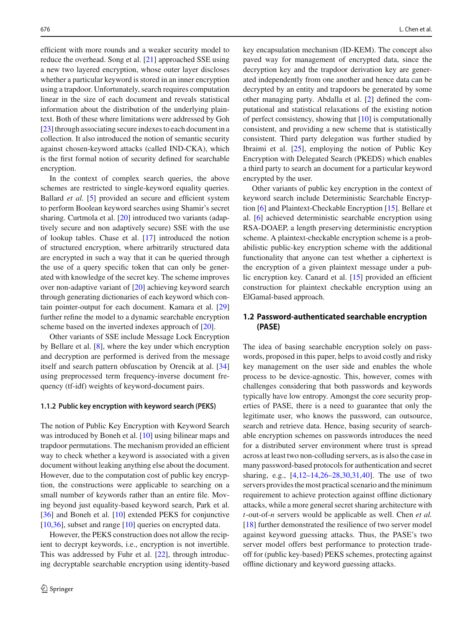efficient with more rounds and a weaker security model to reduce the overhead. Song et al. [\[21\]](#page-18-4) approached SSE using a new two layered encryption, whose outer layer discloses whether a particular keyword is stored in an inner encryption using a trapdoor. Unfortunately, search requires computation linear in the size of each document and reveals statistical information about the distribution of the underlying plaintext. Both of these where limitations were addressed by Goh [\[23](#page-18-5)] through associating secure indexes to each document in a collection. It also introduced the notion of semantic security against chosen-keyword attacks (called IND-CKA), which is the first formal notion of security defined for searchable encryption.

In the context of complex search queries, the above schemes are restricted to single-keyword equality queries. Ballard *et al.* [\[5\]](#page-17-1) provided an secure and efficient system to perform Boolean keyword searches using Shamir's secret sharing. Curtmola et al. [\[20](#page-18-1)] introduced two variants (adaptively secure and non adaptively secure) SSE with the use of lookup tables. Chase et al. [\[17\]](#page-18-6) introduced the notion of structured encryption, where arbitrarily structured data are encrypted in such a way that it can be queried through the use of a query specific token that can only be generated with knowledge of the secret key. The scheme improves over non-adaptive variant of [\[20\]](#page-18-1) achieving keyword search through generating dictionaries of each keyword which contain pointer-output for each document. Kamara et al. [\[29\]](#page-18-2) further refine the model to a dynamic searchable encryption scheme based on the inverted indexes approach of [\[20\]](#page-18-1).

Other variants of SSE include Message Lock Encryption by Bellare et al. [\[8](#page-18-7)], where the key under which encryption and decryption are performed is derived from the message itself and search pattern obfuscation by Orencik at al. [\[34\]](#page-18-8) using preprocessed term frequency-inverse document frequency (tf-idf) weights of keyword-document pairs.

#### **1.1.2 Public key encryption with keyword search (PEKS)**

The notion of Public Key Encryption with Keyword Search was introduced by Boneh et al. [\[10](#page-18-0)] using bilinear maps and trapdoor permutations. The mechanism provided an efficient way to check whether a keyword is associated with a given document without leaking anything else about the document. However, due to the computation cost of public key encryption, the constructions were applicable to searching on a small number of keywords rather than an entire file. Moving beyond just equality-based keyword search, Park et al. [\[36](#page-18-9)] and Boneh et al. [\[10\]](#page-18-0) extended PEKS for conjunctive [\[10](#page-18-0)[,36\]](#page-18-9), subset and range [10] queries on encrypted data.

However, the PEKS construction does not allow the recipient to decrypt keywords, i.e., encryption is not invertible. This was addressed by Fuhr et al. [\[22](#page-18-10)], through introducing decryptable searchable encryption using identity-based key encapsulation mechanism (ID-KEM). The concept also paved way for management of encrypted data, since the decryption key and the trapdoor derivation key are generated independently from one another and hence data can be decrypted by an entity and trapdoors be generated by some other managing party. Abdalla et al. [\[2\]](#page-17-0) defined the computational and statistical relaxations of the existing notion of perfect consistency, showing that [\[10\]](#page-18-0) is computationally consistent, and providing a new scheme that is statistically consistent. Third party delegation was further studied by Ibraimi et al. [\[25\]](#page-18-11), employing the notion of Public Key Encryption with Delegated Search (PKEDS) which enables a third party to search an document for a particular keyword encrypted by the user.

Other variants of public key encryption in the context of keyword search include Deterministic Searchable Encryption [\[6](#page-17-2)] and Plaintext-Checkable Encryption [\[15\]](#page-18-12). Bellare et al. [\[6](#page-17-2)] achieved deterministic searchable encryption using RSA-DOAEP, a length preserving deterministic encryption scheme. A plaintext-checkable encryption scheme is a probabilistic public-key encryption scheme with the additional functionality that anyone can test whether a ciphertext is the encryption of a given plaintext message under a pub-lic encryption key. Canard et al. [\[15\]](#page-18-12) provided an efficient construction for plaintext checkable encryption using an ElGamal-based approach.

# **1.2 Password-authenticated searchable encryption (PASE)**

The idea of basing searchable encryption solely on passwords, proposed in this paper, helps to avoid costly and risky key management on the user side and enables the whole process to be device-agnostic. This, however, comes with challenges considering that both passwords and keywords typically have low entropy. Amongst the core security properties of PASE, there is a need to guarantee that only the legitimate user, who knows the password, can outsource, search and retrieve data. Hence, basing security of searchable encryption schemes on passwords introduces the need for a distributed server environment where trust is spread across at least two non-colluding servers, as is also the case in many password-based protocols for authentication and secret sharing, e.g., [\[4](#page-17-3)[,12](#page-18-13)[–14](#page-18-14)[,26](#page-18-15)[–28](#page-18-16)[,30](#page-18-17)[,31](#page-18-18)[,40\]](#page-18-19). The use of two servers provides the most practical scenario and the minimum requirement to achieve protection against offline dictionary attacks, while a more general secret sharing architecture with *t*-out-of-*n* servers would be applicable as well. Chen *et al.* [\[18](#page-18-20)] further demonstrated the resilience of two server model against keyword guessing attacks. Thus, the PASE's two server model offers best performance to protection tradeoff for (public key-based) PEKS schemes, protecting against offline dictionary and keyword guessing attacks.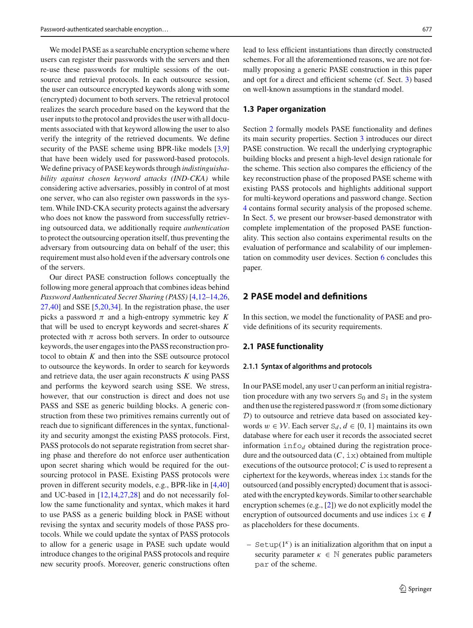We model PASE as a searchable encryption scheme where users can register their passwords with the servers and then re-use these passwords for multiple sessions of the outsource and retrieval protocols. In each outsource session, the user can outsource encrypted keywords along with some (encrypted) document to both servers. The retrieval protocol realizes the search procedure based on the keyword that the user inputs to the protocol and provides the user with all documents associated with that keyword allowing the user to also verify the integrity of the retrieved documents. We define security of the PASE scheme using BPR-like models [\[3](#page-17-4)[,9\]](#page-18-21) that have been widely used for password-based protocols. We define privacy of PASE keywords through *indistinguishability against chosen keyword attacks (IND-CKA)* while considering active adversaries, possibly in control of at most one server, who can also register own passwords in the system. While IND-CKA security protects against the adversary who does not know the password from successfully retrieving outsourced data, we additionally require *authentication* to protect the outsourcing operation itself, thus preventing the adversary from outsourcing data on behalf of the user; this requirement must also hold even if the adversary controls one of the servers.

Our direct PASE construction follows conceptually the following more general approach that combines ideas behind *Password Authenticated Secret Sharing (PASS)* [\[4](#page-17-3)[,12](#page-18-13)[–14](#page-18-14)[,26,](#page-18-15) [27](#page-18-22)[,40](#page-18-19)] and SSE [\[5](#page-17-1)[,20](#page-18-1)[,34\]](#page-18-8). In the registration phase, the user picks a password  $\pi$  and a high-entropy symmetric key *K* that will be used to encrypt keywords and secret-shares *K* protected with  $\pi$  across both servers. In order to outsource keywords, the user engages into the PASS reconstruction protocol to obtain *K* and then into the SSE outsource protocol to outsource the keywords. In order to search for keywords and retrieve data, the user again reconstructs *K* using PASS and performs the keyword search using SSE. We stress, however, that our construction is direct and does not use PASS and SSE as generic building blocks. A generic construction from these two primitives remains currently out of reach due to significant differences in the syntax, functionality and security amongst the existing PASS protocols. First, PASS protocols do not separate registration from secret sharing phase and therefore do not enforce user authentication upon secret sharing which would be required for the outsourcing protocol in PASE. Existing PASS protocols were proven in different security models, e.g., BPR-like in [\[4](#page-17-3)[,40\]](#page-18-19) and UC-based in [\[12](#page-18-13)[,14](#page-18-14)[,27](#page-18-22)[,28\]](#page-18-16) and do not necessarily follow the same functionality and syntax, which makes it hard to use PASS as a generic building block in PASE without revising the syntax and security models of those PASS protocols. While we could update the syntax of PASS protocols to allow for a generic usage in PASE such update would introduce changes to the original PASS protocols and require new security proofs. Moreover, generic constructions often lead to less efficient instantiations than directly constructed schemes. For all the aforementioned reasons, we are not formally proposing a generic PASE construction in this paper and opt for a direct and efficient scheme (cf. Sect. [3\)](#page-5-0) based on well-known assumptions in the standard model.

#### **1.3 Paper organization**

Section [2](#page-2-0) formally models PASE functionality and defines its main security properties. Section [3](#page-5-0) introduces our direct PASE construction. We recall the underlying cryptographic building blocks and present a high-level design rationale for the scheme. This section also compares the efficiency of the key reconstruction phase of the proposed PASE scheme with existing PASS protocols and highlights additional support for multi-keyword operations and password change. Section [4](#page-11-0) contains formal security analysis of the proposed scheme. In Sect. [5,](#page-13-0) we present our browser-based demonstrator with complete implementation of the proposed PASE functionality. This section also contains experimental results on the evaluation of performance and scalability of our implementation on commodity user devices. Section [6](#page-17-5) concludes this paper.

# <span id="page-2-0"></span>**2 PASE model and definitions**

In this section, we model the functionality of PASE and provide definitions of its security requirements.

## **2.1 PASE functionality**

#### **2.1.1 Syntax of algorithms and protocols**

In our PASE model, any user U can perform an initial registration procedure with any two servers  $S_0$  and  $S_1$  in the system and then use the registered password  $\pi$  (from some dictionary *D*) to outsource and retrieve data based on associated keywords  $w \in \mathcal{W}$ . Each server  $S_d$ ,  $d \in \{0, 1\}$  maintains its own database where for each user it records the associated secret information info*<sup>d</sup>* obtained during the registration procedure and the outsourced data  $(C, \infty)$  obtained from multiple executions of the outsource protocol; *C* is used to represent a ciphertext for the keywords, whereas index ix stands for the outsourced (and possibly encrypted) document that is associated with the encrypted keywords. Similar to other searchable encryption schemes (e.g., [\[2\]](#page-17-0)) we do not explicitly model the encryption of outsourced documents and use indices  $i \times \in I$ as placeholders for these documents.

– Setup( $1^{k}$ ) is an initialization algorithm that on input a security parameter  $\kappa \in \mathbb{N}$  generates public parameters par of the scheme.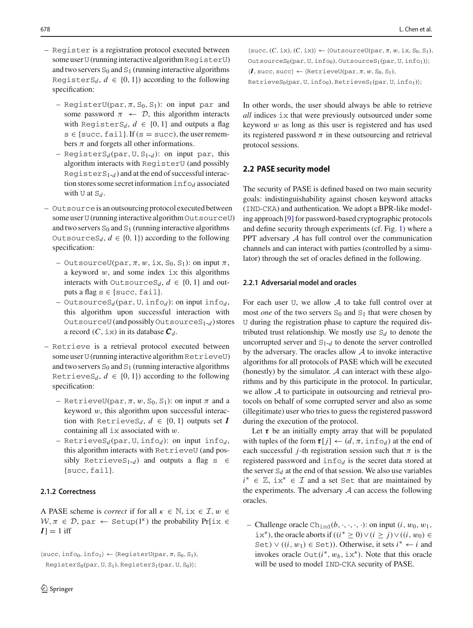- Register is a registration protocol executed between some user U (running interactive algorithm RegisterU) and two servers  $S_0$  and  $S_1$  (running interactive algorithms RegisterS<sub>d</sub>,  $d \in \{0, 1\}$  according to the following specification:
	- RegisterU(par,  $\pi$ , S<sub>0</sub>, S<sub>1</sub>): on input par and some password  $\pi \leftarrow \mathcal{D}$ , this algorithm interacts with RegisterS<sub>d</sub>,  $d \in \{0, 1\}$  and outputs a flag  $s \in \{succ, fail\}$ . If  $(s = succ)$ , the user remembers  $\pi$  and forgets all other informations.
	- $-$  RegisterS<sub>d</sub>(par, U, S<sub>1-d</sub>): on input par, this algorithm interacts with RegisterU (and possibly Register $S_{1-d}$  and at the end of successful interaction stores some secret information  $\text{inf}_{\Theta_d}$  associated with U at  $S_d$ .
- Outsourceis an outsourcing protocol executed between some user U (running interactive algorithm OutsourceU) and two servers  $S_0$  and  $S_1$  (running interactive algorithms OutsourceS<sub>d</sub>,  $d \in \{0, 1\}$  according to the following specification:
	- OutsourceU(par,  $π$ ,  $w$ , ix,  $S_0$ ,  $S_1$ ): on input  $π$ , a keyword  $w$ , and some index  $ix$  this algorithms interacts with OutsourceS<sub>d</sub>,  $d \in \{0, 1\}$  and outputs a flag  $s \in \{succ, fail\}.$
	- $-$  OutsourceS<sub>d</sub>(par, U, info<sub>d</sub>): on input info<sub>d</sub>, this algorithm upon successful interaction with OutsourceU(and possiblyOutsourceS1-*<sup>d</sup>* ) stores a record  $(C, \text{ix})$  in its database  $C_d$ .
- Retrieve is a retrieval protocol executed between some user U (running interactive algorithm RetrieveU) and two servers  $S_0$  and  $S_1$  (running interactive algorithms RetrieveS<sub>d</sub>,  $d \in \{0, 1\}$  according to the following specification:
	- RetrieveU(par,  $\pi$ ,  $w$ ,  $S_0$ ,  $S_1$ ): on input  $\pi$  and a keyword  $w$ , this algorithm upon successful interaction with RetrieveS<sub>d</sub>,  $d \in \{0, 1\}$  outputs set *I* containing all  $\exists x$  associated with w.
	- $-$  RetrieveS<sub>d</sub>(par, U, info<sub>d</sub>): on input info<sub>d</sub>, this algorithm interacts with RetrieveU (and possibly RetrieveS<sub>1-d</sub>) and outputs a flag s  $∈$ {succ, fail}.

## **2.1.2 Correctness**

A PASE scheme is *correct* if for all  $\kappa \in \mathbb{N}$ , ix  $\in \mathcal{I}$ ,  $w \in$  $W, \pi \in \mathcal{D}$ , par  $\leftarrow$  Setup(1<sup>k</sup>) the probability Pr[ix  $\in$  $I$  = 1 iff

```
\langle \text{succ}, (C, ix), (C, ix) \rangle \leftarrow \langle \text{OutsideU}(par, \pi, w, ix, S_0, S_1),OutsourceS<sub>0</sub>(par, U, info<sub>0</sub>), OutsourceS<sub>1</sub>(par, U, info<sub>1</sub>));
\langle I, \text{succ}, \text{succ}\rangle \leftarrow \langle \text{Retrievev}(\text{par}, \pi, w, S_0, S_1),Retrices_0(par, U, info_0), Retrices_1(par, U, info_1);
```
In other words, the user should always be able to retrieve *all* indices ix that were previously outsourced under some keyword  $w$  as long as this user is registered and has used its registered password  $\pi$  in these outsourcing and retrieval protocol sessions.

## <span id="page-3-0"></span>**2.2 PASE security model**

The security of PASE is defined based on two main security goals: indistinguishability against chosen keyword attacks (IND-CKA) and authentication. We adopt a BPR-like modeling approach [\[9\]](#page-18-21) for password-based cryptographic protocols and define security through experiments (cf. Fig. [1\)](#page-4-0) where a PPT adversary *A* has full control over the communication channels and can interact with parties (controlled by a simulator) through the set of oracles defined in the following.

## **2.2.1 Adversarial model and oracles**

For each user U, we allow *A* to take full control over at most *one* of the two servers  $S_0$  and  $S_1$  that were chosen by U during the registration phase to capture the required distributed trust relationship. We mostly use  $S_d$  to denote the uncorrupted server and S1-*<sup>d</sup>* to denote the server controlled by the adversary. The oracles allow *A* to invoke interactive algorithms for all protocols of PASE which will be executed (honestly) by the simulator. *A* can interact with these algorithms and by this participate in the protocol. In particular, we allow *A* to participate in outsourcing and retrieval protocols on behalf of some corrupted server and also as some (illegitimate) user who tries to guess the registered password during the execution of the protocol.

Let  $\tau$  be an initially empty array that will be populated with tuples of the form  $\tau[j] \leftarrow (d, \pi, \text{info}_d)$  at the end of each successful *j*-th registration session such that  $\pi$  is the registered password and info*<sup>d</sup>* is the secret data stored at the server  $S_d$  at the end of that session. We also use variables  $i^* \in \mathbb{Z}$ , ix<sup>\*</sup>  $\in \mathcal{I}$  and a set Set that are maintained by the experiments. The adversary  $A$  can access the following oracles.

– Challenge oracle  $Ch_{ind}(b, \cdot, \cdot, \cdot, \cdot)$ : on input  $(i, w_0, w_1,$ ix<sup>\*</sup>), the oracle aborts if  $((i^* \ge 0) \vee (i \ge j) \vee ((i, w_0) \in$ Set)  $\vee$  ((*i*,  $w_1$ )  $\in$  Set)). Otherwise, it sets  $i^* \leftarrow i$  and invokes oracle  $Out(i^*, w_b, \text{ix}^*)$ . Note that this oracle will be used to model IND-CKA security of PASE.

 $\langle succ, info_0, info_1 \rangle \leftarrow \langle RegisterU(par, \pi, S_0, S_1),$  $RegisterS_0(par, U, S_1)$ ,  $RegisterS_1(par, U, S_0)$ ;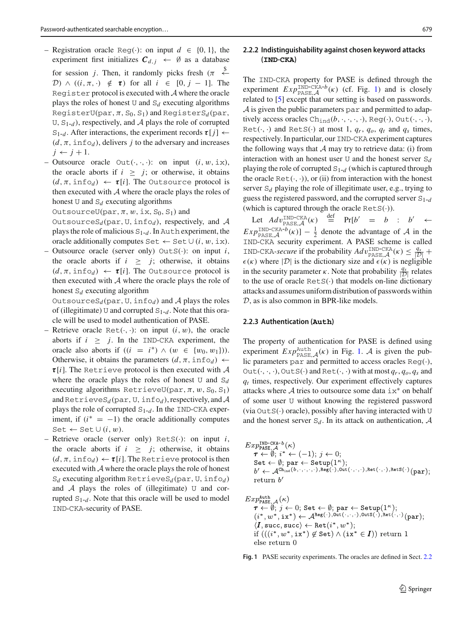- Registration oracle Reg(·): on input  $d \in \{0, 1\}$ , the experiment first initializes  $C_{d,j} \leftarrow \emptyset$  as a database for session *j*. Then, it randomly picks fresh ( $\pi \leftarrow$ *D*)  $\wedge$  ((*i*,  $\pi$ , ·)  $\notin \tau$ ) for all  $i \in [0, j - 1]$ . The Register protocol is executed with *A* where the oracle plays the roles of honest  $U$  and  $S_d$  executing algorithms RegisterU(par,  $\pi$ , S<sub>0</sub>, S<sub>1</sub>) and RegisterS<sub>d</sub>(par, U,  $S_{1-d}$ ), respectively, and *A* plays the role of corrupted S<sub>1-*d*</sub>. After interactions, the experiment records  $\tau[j] \leftarrow$  $(d, \pi, \text{info}_d)$ , delivers *j* to the adversary and increases  $j \leftarrow j + 1$ .
- Outsource oracle  $Out(\cdot, \cdot, \cdot)$ : on input  $(i, w, \text{ix})$ , the oracle aborts if  $i \geq j$ ; or otherwise, it obtains  $(d, \pi, \text{info}_d) \leftarrow \tau[i]$ . The Outsource protocol is then executed with *A* where the oracle plays the roles of honest U and  $S_d$  executing algorithms

OutsourceU(par,  $\pi$ ,  $w$ , ix,  $S_0$ ,  $S_1$ ) and

OutsourceS<sub>d</sub>(par, U, info<sub>d</sub>), respectively, and A plays the role of malicious S1-*<sup>d</sup>* . In Auth experiment, the oracle additionally computes Set  $\leftarrow$  Set ∪ (*i*, *w*, ix).

– Outsource oracle (server only) OutS(·): on input *i*, the oracle aborts if  $i > j$ ; otherwise, it obtains  $(d, \pi, \text{info}_d) \leftarrow \tau[i]$ . The Outsource protocol is then executed with *A* where the oracle plays the role of honest S*<sup>d</sup>* executing algorithm

OutsourceS<sub>d</sub>(par, U, info<sub>d</sub>) and A plays the roles of (illegitimate) U and corrupted S1-*<sup>d</sup>* . Note that this oracle will be used to model authentication of PASE.

- Retrieve oracle  $\text{Ret}(\cdot, \cdot)$ : on input  $(i, w)$ , the oracle aborts if  $i \geq j$ . In the IND-CKA experiment, the oracle also aborts if  $((i = i^*) \wedge (w \in \{w_0, w_1\})).$ Otherwise, it obtains the parameters  $(d, \pi, \text{info}_d) \leftarrow$  $\tau[i]$ . The Retrieve protocol is then executed with A where the oracle plays the roles of honest U and S*<sup>d</sup>* executing algorithms RetrieveU(par,  $\pi$ ,  $w$ , S<sub>0</sub>, S<sub>1</sub>) andRetrieveS*<sup>d</sup>* (par, U, info*<sup>d</sup>* ), respectively, and*A* plays the role of corrupted  $S_{1-d}$ . In the IND-CKA experiment, if  $(i^* = -1)$  the oracle additionally computes  $Set \leftarrow Set \cup (i, w).$
- Retrieve oracle (server only) RetS(·): on input *i*, the oracle aborts if  $i \geq j$ ; otherwise, it obtains  $(d, \pi, \text{info}_d) \leftarrow \tau[i]$ . The Retrieve protocol is then executed with *A* where the oracle plays the role of honest S*<sup>d</sup>* executing algorithm RetrieveS*<sup>d</sup>* (par, U, info*<sup>d</sup>* ) and *A* plays the roles of (illegitimate) U and corrupted  $S_{1-d}$ . Note that this oracle will be used to model IND-CKA-security of PASE.

## **2.2.2 Indistinguishability against chosen keyword attacks (IND-CKA)**

The IND-CKA property for PASE is defined through the experiment  $Exp_{\text{PASEA}}^{ \text{IND-CKA-}b}(\kappa)$  (cf. Fig. [1\)](#page-4-0) and is closely related to [\[5\]](#page-17-1) except that our setting is based on passwords. *A* is given the public parameters par and permitted to adaptively access oracles  $Ch_{ind}(b, \cdot, \cdot, \cdot, \cdot)$ , Reg $(\cdot)$ , Out $(\cdot, \cdot, \cdot)$ , Ret( $\cdot$ ,  $\cdot$ ) and RetS( $\cdot$ ) at most 1,  $q_r$ ,  $q_o$ ,  $q_t$  and  $q_s$  times, respectively. In particular, our IND-CKA experiment captures the following ways that  $A$  may try to retrieve data: (i) from interaction with an honest user U and the honest server  $S_d$ playing the role of corrupted S1-*<sup>d</sup>* (which is captured through the oracle  $\text{Ret}(\cdot, \cdot)$ , or (ii) from interaction with the honest server  $S_d$  playing the role of illegitimate user, e.g., trying to guess the registered password, and the corrupted server S1-*<sup>d</sup>* (which is captured through the oracle  $RetS(.)$ ).

Let  $Adv_{\text{PASE},\mathcal{A}}^{\text{IND-CKA}}(\kappa) \stackrel{\text{def}}{=} \Pr[b' = b : b' \leftarrow$  $Exp_{\text{PASEA}}^{\text{IND-CKA-}b}(\kappa)$   $- \frac{1}{2}$  denote the advantage of *A* in the IND-CKA security experiment. A PASE scheme is called IND-CKA*-secure* if the probability  $Adv_{\text{PASE},\mathcal{A}}^{\text{IND-CKA}}(\kappa) \leq \frac{q_s}{|\mathcal{D}|} +$  $\epsilon(\kappa)$  where  $|\mathcal{D}|$  is the dictionary size and  $\epsilon(\kappa)$  is negligible in the security parameter κ. Note that probability  $\frac{q_s}{|D|}$  relates to the use of oracle  $\text{RetS}(\cdot)$  that models on-line dictionary attacks and assumes uniform distribution of passwords within *D*, as is also common in BPR-like models.

#### **2.2.3 Authentication (Auth)**

The property of authentication for PASE is defined using experiment  $Exp_{\text{PASE},\mathcal{A}}^{\text{Auth}}(k)$  in Fig. [1.](#page-4-0) *A* is given the public parameters par and permitted to access oracles  $Reg(\cdot)$ , Out( $\cdot$ ,  $\cdot$ ,  $\cdot$ ), OutS( $\cdot$ ) and Ret( $\cdot$ ,  $\cdot$ ) with at most  $q_r$ ,  $q_o$ ,  $q_s$  and *qt* times, respectively. Our experiment effectively captures attacks where  $A$  tries to outsource some data  $i x^*$  on behalf of some user U without knowing the registered password (via  $OutS()$  oracle), possibly after having interacted with U and the honest server  $S_d$ . In its attack on authentication,  $A$ 

$$
\begin{array}{l} \mathit{Exp}_{\tt{PASE},\mathcal{A}}^{\tt IND-CKA-b}(\kappa) \\ \tau \leftarrow \emptyset; \, i^* \leftarrow (-1); \, j \leftarrow 0; \\ \mathit{Set} \leftarrow \emptyset; \, \tt par \leftarrow Setup(1^\kappa); \\ b' \leftarrow \mathcal{A}^{\tt Ch_{ind}(b,\cdot,\cdot,\cdot,\cdot), \tt Reg(\cdot),\mathit{Out}(\cdot,\cdot,\cdot), \tt Ret(\cdot,\cdot), \tt RetS(\cdot) }(\tt par); \\ \text{return } b' \end{array}
$$

 $Exp_{\text{PASE, }\mathcal{A}}^{\text{Auth}}(\kappa)$  $\tau \leftarrow \emptyset; j \leftarrow 0; \text{Set} \leftarrow \emptyset; \text{par} \leftarrow \text{Setup}(1^{\kappa});$ <br>  $(i^*, w^*, ix^*) \leftarrow A^{\text{Reg}(\cdot), \text{Out}(\cdot, \cdot, \cdot), \text{Out}(\cdot, \cdot), \text{Ret}(\cdot, \cdot)}(\text{par});$  $\langle I, \text{succ}, \text{succ} \rangle \leftarrow \text{Ret}(i^*, w^*);$ if  $(((i^*, w^*, i\mathbf{x}^*) \not\in \texttt{Set}) \wedge (i\mathbf{x}^* \in I))$  return 1 else return 0

<span id="page-4-0"></span>**Fig. 1** PASE security experiments. The oracles are defined in Sect. [2.2](#page-3-0)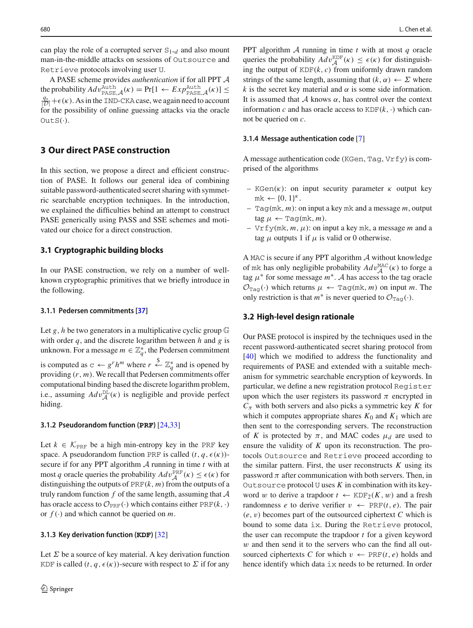can play the role of a corrupted server S1-*<sup>d</sup>* and also mount man-in-the-middle attacks on sessions of Outsource and Retrieve protocols involving user U.

A PASE scheme provides *authentication* if for all PPT *A* the probability  $Adv_{\text{PASE},\mathcal{A}}^{\text{Auth}}(\kappa) = \Pr[1 \leftarrow Exp_{\text{PASE},\mathcal{A}}^{\text{Auth}}(\kappa)] \le$  $\frac{q_s}{\mathcal{D}}$  +  $\epsilon$  (*κ*). As in the IND-CKA case, we again need to account  $|D|$  for the possibility of online guessing attacks via the oracle  $OutS(·).$ 

# <span id="page-5-0"></span>**3 Our direct PASE construction**

In this section, we propose a direct and efficient construction of PASE. It follows our general idea of combining suitable password-authenticated secret sharing with symmetric searchable encryption techniques. In the introduction, we explained the difficulties behind an attempt to construct PASE generically using PASS and SSE schemes and motivated our choice for a direct construction.

# **3.1 Cryptographic building blocks**

In our PASE construction, we rely on a number of wellknown cryptographic primitives that we briefly introduce in the following.

#### **3.1.1 Pedersen commitments [\[37](#page-18-23)]**

Let  $g, h$  be two generators in a multiplicative cyclic group  $\mathbb G$ with order *q*, and the discrete logarithm between *h* and *g* is unknown. For a message  $m \in \mathbb{Z}_q^*$ , the Pedersen commitment is computed as  $c \leftarrow g^r h^m$  where  $r \stackrel{\$}{\leftarrow} \mathbb{Z}_q^*$  and is opened by providing (*r*, *m*). We recall that Pedersen commitments offer computational binding based the discrete logarithm problem, i.e., assuming  $Adv_{\mathcal{A}}^{\text{DL}}(k)$  is negligible and provide perfect hiding.

## **3.1.2 Pseudorandom function (PRF)** [\[24](#page-18-24)[,33\]](#page-18-25)

Let  $k \in \mathcal{K}_{\text{PRF}}$  be a high min-entropy key in the PRF key space. A pseudorandom function PRF is called  $(t, q, \epsilon(\kappa))$ secure if for any PPT algorithm *A* running in time *t* with at most *q* oracle queries the probability  $Adv_A^{\text{PRF}}(\kappa) \leq \epsilon(\kappa)$  for distinguishing the outputs of  $PRF(k, m)$  from the outputs of a truly random function *f* of the same length, assuming that *A* has oracle access to  $\mathcal{O}_{\text{PRF}}(\cdot)$  which contains either PRF( $k, \cdot$ ) or  $f(\cdot)$  and which cannot be queried on *m*.

### **3.1.3 Key derivation function (KDF)** [\[32](#page-18-26)]

Let  $\Sigma$  be a source of key material. A key derivation function KDF is called  $(t, q, \epsilon(\kappa))$ -secure with respect to  $\Sigma$  if for any PPT algorithm *A* running in time *t* with at most *q* oracle queries the probability  $Adv_{\mathcal{A}}^{\text{KDF}}(\kappa) \leq \epsilon(\kappa)$  for distinguishing the output of  $KDF(k, c)$  from uniformly drawn random strings of the same length, assuming that  $(k, \alpha) \leftarrow \Sigma$  where *k* is the secret key material and  $\alpha$  is some side information. It is assumed that  $A$  knows  $\alpha$ , has control over the context information *c* and has oracle access to  $KDF(k, \cdot)$  which cannot be queried on *c*.

#### **3.1.4 Message authentication code** [\[7](#page-17-6)]

A message authentication code (KGen, Tag, Vrfy) is comprised of the algorithms

- KGen( $\kappa$ ): on input security parameter  $\kappa$  output key  $mk \leftarrow \{0, 1\}^k$ .
- Tag(mk, *m*): on input a key mk and a message *m*, output  $tag \mu \leftarrow \text{Tag}(\text{mk}, m).$
- $-$  Vrfy(mk,  $m, \mu$ ): on input a key mk, a message m and a tag  $\mu$  outputs 1 if  $\mu$  is valid or 0 otherwise.

A MAC is secure if any PPT algorithm *A* without knowledge of mk has only negligible probability  $Adv_{\mathcal{A}}^{\text{MAC}}(\kappa)$  to forge a tag  $\mu^*$  for some message  $m^*$ . *A* has access to the tag oracle  $\mathcal{O}_{\text{Taq}}(\cdot)$  which returns  $\mu \leftarrow \text{Taq}(\text{mk}, m)$  on input *m*. The only restriction is that  $m^*$  is never queried to  $\mathcal{O}_{\text{Tag}}(\cdot)$ .

#### **3.2 High-level design rationale**

Our PASE protocol is inspired by the techniques used in the recent password-authenticated secret sharing protocol from [\[40](#page-18-19)] which we modified to address the functionality and requirements of PASE and extended with a suitable mechanism for symmetric searchable encryption of keywords. In particular, we define a new registration protocol Register upon which the user registers its password  $\pi$  encrypted in  $C_{\pi}$  with both servers and also picks a symmetric key *K* for which it computes appropriate shares  $K_0$  and  $K_1$  which are then sent to the corresponding servers. The reconstruction of *K* is protected by  $\pi$ , and MAC codes  $\mu_d$  are used to ensure the validity of *K* upon its reconstruction. The protocols Outsource and Retrieve proceed according to the similar pattern. First, the user reconstructs *K* using its password  $\pi$  after communication with both servers. Then, in Outsource protocol  $U$  uses  $K$  in combination with its keyword w to derive a trapdoor  $t \leftarrow \text{KDF}_2(K, w)$  and a fresh randomness *e* to derive verifier  $v \leftarrow \text{PRF}(t, e)$ . The pair (*e*, v) becomes part of the outsourced ciphertext *C* which is bound to some data ix. During the Retrieve protocol, the user can recompute the trapdoor *t* for a given keyword w and then send it to the servers who can the find all outsourced ciphertexts *C* for which  $v \leftarrow \text{PRF}(t, e)$  holds and hence identify which data ix needs to be returned. In order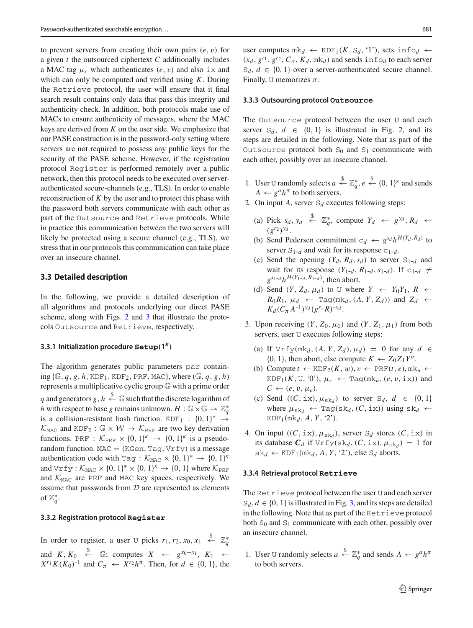to prevent servers from creating their own pairs (*e*, v) for a given *t* the outsourced ciphertext *C* additionally includes a MAC tag  $\mu_c$  which authenticates  $(e, v)$  and also ix and which can only be computed and verified using *K*. During the Retrieve protocol, the user will ensure that it final search result contains only data that pass this integrity and authenticity check. In addition, both protocols make use of MACs to ensure authenticity of messages, where the MAC keys are derived from *K* on the user side. We emphasize that our PASE construction is in the password-only setting where servers are not required to possess any public keys for the security of the PASE scheme. However, if the registration protocol Register is performed remotely over a public network, then this protocol needs to be executed over serverauthenticated secure-channels (e.g., TLS). In order to enable reconstruction of *K* by the user and to protect this phase with the password both servers communicate with each other as part of the Outsource and Retrieve protocols. While in practice this communication between the two servers will likely be protected using a secure channel (e.g., TLS), we stress that in our protocols this communication can take place over an insecure channel.

# **3.3 Detailed description**

In the following, we provide a detailed description of all algorithms and protocols underlying our direct PASE scheme, along with Figs. [2](#page-7-0) and [3](#page-8-0) that illustrate the protocols Outsource and Retrieve, respectively.

# **3.3.1 Initialization procedure Setup***(***1***-)*

The algorithm generates public parameters par containing  $\{\mathbb{G}, q, g, h, \text{KDF}_1, \text{KDF}_2, \text{PRF}, \text{MAC}\}$ , where  $(\mathbb{G}, q, g, h)$ represents a multiplicative cyclic group G with a prime order *q* and generators *g*, *h*  $\xleftarrow{\$} \mathbb{G}$  such that the discrete logarithm of *h* with respect to base *g* remains unknown.  $H : \mathbb{G} \times \mathbb{G} \to \mathbb{Z}_q^*$ is a collision-resistant hash function. KDF<sub>1</sub> :  $\{0, 1\}^*$  →  $\mathcal{K}_{\text{MAC}}$  and  $\text{KDF}_2$ :  $\mathbb{G} \times \mathcal{W} \rightarrow \mathcal{K}_{\text{PRF}}$  are two key derivation functions. PRF :  $K_{\text{PRF}} \times \{0, 1\}^{\kappa} \rightarrow \{0, 1\}^{\kappa}$  is a pseudorandom function. MAC = (KGen, Tag,  $Vrfy$ ) is a message authentication code with Tag :  $K_{MAC} \times \{0, 1\}^* \rightarrow \{0, 1\}^K$ and  $\text{Vrfy}: \mathcal{K}_{\text{MAC}} \times \{0, 1\}^* \times \{0, 1\}^K \rightarrow \{0, 1\}$  where  $\mathcal{K}_{\text{PRF}}$ and  $K_{\text{MAC}}$  are PRF and MAC key spaces, respectively. We assume that passwords from *D* are represented as elements of  $\mathbb{Z}_q^*$ .

#### **3.3.2 Registration protocol Register**

In order to register, a user U picks  $r_1, r_2, x_0, x_1 \stackrel{\$}{\leftarrow} \mathbb{Z}_q^*$ and  $K, K_0 \xleftarrow{\$} \mathbb{G}$ ; computes  $X \leftarrow g^{x_0 + x_1}, K_1 \leftarrow$ *X*<sup>*r*</sup>1*K*(*K*<sub>0</sub>)<sup>-1</sup> and *C*<sub>π</sub> ← *X*<sup>*r*2</sup>*h*<sup>π</sup>. Then, for *d* ∈ {0, 1}, the user computes mk<sub>*d*</sub> ← KDF<sub>1</sub>( $K$ ,  $S_d$ , '1'), sets info<sub>*d*</sub> ←  $(x_d, g^{r_1}, g^{r_2}, C_\pi, K_d, mk_d)$  and sends info<sub>d</sub> to each server  $S_d$ ,  $d \in \{0, 1\}$  over a server-authenticated secure channel. Finally, U memorizes  $\pi$ .

## **3.3.3 Outsourcing protocol Outsource**

The Outsource protocol between the user U and each server  $S_d$ ,  $d \in \{0, 1\}$  is illustrated in Fig. [2,](#page-7-0) and its steps are detailed in the following. Note that as part of the Outsource protocol both  $S_0$  and  $S_1$  communicate with each other, possibly over an insecure channel.

- 1. User U randomly selects  $a \stackrel{\$}{\leftarrow} \mathbb{Z}_q^*, e \stackrel{\$}{\leftarrow} \{0, 1\}^k$  and sends  $A \leftarrow g^a h^{\pi}$  to both servers.
- 2. On input *A*, server  $S_d$  executes following steps:
	- (a) Pick  $s_d$ ,  $y_d \stackrel{\$}{\leftarrow} \mathbb{Z}_q^*$ , compute  $Y_d \leftarrow g^{y_d}$ ,  $R_d \leftarrow$  $(q^{r_2})^{y_d}$ .
	- (b) Send Pedersen commitment  $c_d \leftarrow g^{s_d} h^{H(Y_d, R_d)}$  to server  $S_{1-d}$  and wait for its response  $C_{1-d}$ .
	- (c) Send the opening  $(Y_d, R_d, s_d)$  to server  $S_{1-d}$  and wait for its response  $(Y_{1-d}, R_{1-d}, s_{1-d})$ . If  $c_{1-d} \neq$  $g^{s_1-d}h^{H(Y_1-d, R_1-d)}$ , then abort.
	- (d) Send  $(Y, Z_d, \mu_d)$  to U where  $Y \leftarrow Y_0 Y_1, R \leftarrow$  $R_0R_1$ ,  $\mu_d \leftarrow \text{Tag}(\text{mk}_d, (A, Y, Z_d))$  and  $Z_d \leftarrow$  $K_d$   $(C_{\pi} A^{-1})^{y_d} (g^{r_1} R)^{-x_d}$ .
- 3. Upon receiving  $(Y, Z_0, \mu_0)$  and  $(Y, Z_1, \mu_1)$  from both servers, user U executes following steps:
	- (a) If  $\forall$ rfy(mk<sub>d</sub>, (A, Y, Z<sub>d</sub>),  $\mu$ <sub>d</sub>) = 0 for any  $d \in$  $\{0, 1\}$ , then abort, else compute  $K \leftarrow Z_0 Z_1 Y^a$ .
	- (b) Compute  $t \leftarrow \text{KDF}_2(K, w), v \leftarrow \text{PRF}(t, e), \text{mk}_u \leftarrow$  $KDF_1(K, U, '0'), \mu_c \leftarrow \text{Tag}(mk_u, (e, v, \text{ix}))$  and  $C \leftarrow (e, v, \mu_c)$ .
	- (c) Send  $((C, ix), \mu_{sk})$  to server  $S_d$ ,  $d \in \{0, 1\}$ where  $\mu_{sk_d} \leftarrow \text{Tag}(sk_d, (C, ix))$  using  $sk_d \leftarrow$  $KDF_1(mk_d, A, Y, '2').$
- 4. On input  $((C, ix), \mu_{sk})$ , server  $S_d$  stores  $(C, ix)$  in its database  $C_d$  if  $Vrfy(\text{sk}_d, (C, ix), \mu_{\text{sk}_d}) = 1$  for  $sk_d \leftarrow \text{KDF}_1(\text{mk}_d, A, Y, '2'),$  else  $S_d$  aborts.

## **3.3.4 Retrieval protocol Retrieve**

The Retrieve protocol between the user U and each server  $S_d, d \in \{0, 1\}$  is illustrated in Fig. [3,](#page-8-0) and its steps are detailed in the following. Note that as part of the Retrieve protocol both  $S_0$  and  $S_1$  communicate with each other, possibly over an insecure channel.

1. User U randomly selects  $a \stackrel{\$}{\leftarrow} \mathbb{Z}_q^*$  and sends  $A \leftarrow g^a h^{\pi}$ to both servers.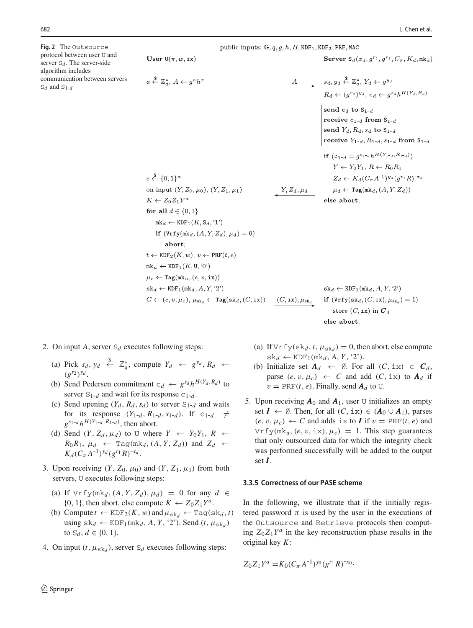682 L. Chen et al.

<span id="page-7-0"></span>**Fig. 2** The Outsource public inputs:  $\mathbb{G}, q, g, h, H, KDF_1, KDF_2, PRF, MAC$ protocol between user U and User  $U(\pi, w, ix)$ Server  $S_d(x_d, g^{r_1}, g^{r_2}, C_\pi, K_d, m k_d)$ server S<sub>d</sub>. The server-side algorithm includes A  $s_d, y_d \stackrel{\$}{\leftarrow} \mathbb{Z}_q^*, Y_d \leftarrow g^{y_d}$ communication between servers  $a \stackrel{\$}{\leftarrow} \mathbb{Z}_a^*, A \leftarrow g^a h^{\pi}$  $S_d$  and  $S_{1-d}$  $R_d \leftarrow (g^{r_2})^{y_d}, \, \mathbf{c}_d \leftarrow g^{s_d} h^{H(Y_d, R_d)}$ send  $c_d$  to  $S_{1-d}$ receive  $c_{1-d}$  from  $S_{1-d}$ send  $Y_d, R_d, s_d$  to  $S_{1-d}$ receive  $Y_{1-d}, R_{1-d}, s_{1-d}$  from  $S_{1-d}$ **if**  $(c_{1-d} = g^{s_{1-d}} h^{H(Y_{1-d}, R_{1-d})})$  $Y \leftarrow Y_0 Y_1, R \leftarrow R_0 R_1$  $e \stackrel{\$}{\leftarrow} \{0,1\}^{\kappa}$  $Z_d \leftarrow K_d (C_{\pi} A^{-1})^{y_d} (g^{r_1} R)^{-x_d}$  $\mu_d \leftarrow \texttt{Tag}(\texttt{mk}_d, (A, Y, Z_d))$ on input  $(Y, Z_0, \mu_0)$ ,  $(Y, Z_1, \mu_1)$  $Y,Z_d,\mu_d$  $K \leftarrow Z_0 Z_1 Y^a$ else abort: for all  $d \in \{0, 1\}$  $mk_d \leftarrow KDF_1(K, S_d, '1')$ if  $(\text{Vrfy}(\text{mk}_d, (A, Y, Z_d), \mu_d) = 0)$ abort;  $t \leftarrow \text{KDF}_2(K, w), v \leftarrow \text{PRF}(t, e)$  $mk_u \leftarrow KDF_1(K, U, '0')$  $\mu_c \leftarrow \texttt{Tag}(\texttt{mk}_u, (e, v, \texttt{ix}))$  $sk_d \leftarrow KDF_1(mk_d, A, Y, '2')$  $\mathtt{sk}_d \leftarrow \mathtt{KDF}_1(\mathtt{mk}_d, A, Y, \text{'}2')$  $C \leftarrow (e, v, \mu_c), \, \mu_{\texttt{sk}_d} \leftarrow \texttt{Tag}(\texttt{sk}_d, (C, \texttt{ix})) \quad (C, \texttt{ix}), \mu_{\texttt{sk}_d}$ if  $(\text{Vrfy}(\text{sk}_d, (C, i\text{x}), \mu_{\text{sk}_d}) = 1)$ store  $(C, ix)$  in  $C_d$ 

- 2. On input *A*, server S*<sup>d</sup>* executes following steps:
	- (a) Pick  $s_d$ ,  $y_d \stackrel{\$}{\leftarrow} \mathbb{Z}_q^*$ , compute  $Y_d \leftarrow g^{y_d}$ ,  $R_d \leftarrow$  $(q^{r_2})^{y_d}$ .
	- (b) Send Pedersen commitment  $c_d \leftarrow g^{s_d} h^{H(Y_d, R_d)}$  to server  $S_{1-d}$  and wait for its response  $C_{1-d}$ .
	- (c) Send opening  $(Y_d, R_d, s_d)$  to server  $S_{1-d}$  and waits for its response  $(Y_{1-d}, R_{1-d}, s_{1-d})$ . If  $c_{1-d} \neq$  $g^{s_1-d}h^{H(Y_1-d, R_1-d)}$ , then abort.
	- (d) Send  $(Y, Z_d, \mu_d)$  to U where  $Y \leftarrow Y_0 Y_1, R \leftarrow$  $R_0R_1$ ,  $\mu_d \leftarrow \text{Tag}(\text{mk}_d, (A, Y, Z_d))$  and  $Z_d \leftarrow$  $K_d$   $(C_{\pi} A^{-1})^{y_d} (g^{r_1} R)^{-x_d}$ .
- 3. Upon receiving  $(Y, Z_0, \mu_0)$  and  $(Y, Z_1, \mu_1)$  from both servers, U executes following steps:
	- (a) If  $\forall$ rfy(mk<sub>d</sub>, (A, Y, Z<sub>d</sub>),  $\mu$ <sub>d</sub>) = 0 for any  $d \in$  $\{0, 1\}$ , then abort, else compute  $K \leftarrow Z_0 Z_1 Y^a$ .
	- (b) Compute  $t \leftarrow \text{KDF}_2(K, w)$  and  $\mu_{\text{sk}_d} \leftarrow \text{Tag}(\text{sk}_d, t)$ using  $sk_d \leftarrow \text{KDF}_1(\text{mk}_d, A, Y, '2')$ . Send  $(t, \mu_{sk_d})$ to  $S_d$ ,  $d \in \{0, 1\}$ .
- 4. On input  $(t, \mu_{sk})$ , server  $s_d$  executes following steps:
- (a) If  $Vrfy(sk_d, t, \mu_{sk_d}) = 0$ , then abort, else compute  $sk_d \leftarrow \text{KDF}_1(\text{mk}_d, A, Y, '2').$
- (b) Initialize set  $A_d \leftarrow \emptyset$ . For all  $(C, i \times) \in C_d$ , parse  $(e, v, \mu_c) \leftarrow C$  and add  $(C, ix)$  to  $A_d$  if  $v = \text{PRF}(t, e)$ . Finally, send  $A_d$  to U.
- 5. Upon receiving  $A_0$  and  $A_1$ , user U initializes an empty set *I* ← Ø. Then, for all  $(C, i x) \in (A_0 ∪ A_1)$ , parses  $(e, v, \mu_c) \leftarrow C$  and adds ix to *I* if  $v = \text{PRF}(t, e)$  and  $Vrfy(mk<sub>u</sub>, (e, v, ix), \mu<sub>c</sub>) = 1$ . This step guarantees that only outsourced data for which the integrity check was performed successfully will be added to the output set *I* .

#### **3.3.5 Correctness of our PASE scheme**

In the following, we illustrate that if the initially registered password  $\pi$  is used by the user in the executions of the Outsource and Retrieve protocols then computing  $Z_0Z_1Y^a$  in the key reconstruction phase results in the original key *K*:

$$
Z_0 Z_1 Y^a = K_0 (C_{\pi} A^{-1})^{y_0} (g^{r_1} R)^{-x_0}.
$$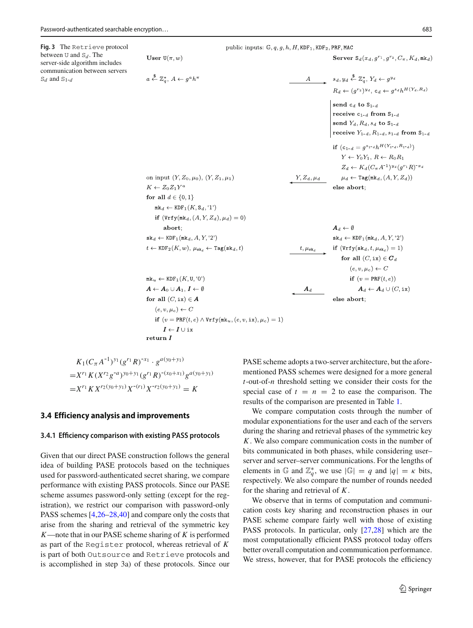<span id="page-8-0"></span>

| Fig. 3 The Retrieve protocol                                                                 | public inputs: $\mathbb{G}, q, g, h, H, KDF_1, KDF_2, PRF, MAC$                                      |                         |                                                                                               |  |  |
|----------------------------------------------------------------------------------------------|------------------------------------------------------------------------------------------------------|-------------------------|-----------------------------------------------------------------------------------------------|--|--|
| between U and $S_d$ . The<br>server-side algorithm includes<br>communication between servers | User $U(\pi, w)$                                                                                     |                         | <b>Server</b> $S_d(x_d, q^{r_1}, q^{r_2}, C_{\pi}, K_d, m k_d)$                               |  |  |
| $S_d$ and $S_{1-d}$                                                                          | $a \stackrel{\$}{\leftarrow} \mathbb{Z}_a^*, A \leftarrow g^a h^{\pi}$                               |                         | $A \longrightarrow s_d, y_d \stackrel{\$}{\leftarrow} \mathbb{Z}_q^*, Y_d \leftarrow g^{y_d}$ |  |  |
|                                                                                              |                                                                                                      |                         | $R_d \leftarrow (g^{r_2})^{y_d}, \, \mathbf{c}_d \leftarrow g^{s_d} h^{H(Y_d, R_d)}$          |  |  |
|                                                                                              |                                                                                                      |                         | send $c_d$ to $S_{1-d}$                                                                       |  |  |
|                                                                                              |                                                                                                      |                         | receive $c_{1-d}$ from $S_{1-d}$                                                              |  |  |
|                                                                                              |                                                                                                      |                         | send $Y_d, R_d, s_d$ to $S_{1-d}$                                                             |  |  |
|                                                                                              |                                                                                                      |                         | receive $Y_{1-d}, R_{1-d}, s_{1-d}$ from $S_{1-d}$                                            |  |  |
|                                                                                              |                                                                                                      |                         | if $(c_{1-d} = g^{s_{1-d}} h^{H(Y_{1-d}, R_{1-d})})$                                          |  |  |
|                                                                                              |                                                                                                      |                         | $Y \leftarrow Y_0 Y_1, R \leftarrow R_0 R_1$                                                  |  |  |
|                                                                                              |                                                                                                      |                         | $Z_d \leftarrow K_d (C_{\pi} A^{-1})^{y_d} (q^{r_1} R)^{-x_d}$                                |  |  |
|                                                                                              | on input $(Y, Z_0, \mu_0)$ , $(Y, Z_1, \mu_1)$                                                       | $Y, Z_d, \mu_d$         | $\mu_d \leftarrow \texttt{Tag}(\texttt{mk}_d, (A, Y, Z_d))$                                   |  |  |
|                                                                                              | $K \leftarrow Z_0 Z_1 Y^a$                                                                           |                         | else abort:                                                                                   |  |  |
|                                                                                              | for all $d \in \{0, 1\}$                                                                             |                         |                                                                                               |  |  |
|                                                                                              | $mk_d \leftarrow KDF_1(K, S_d, '1')$                                                                 |                         |                                                                                               |  |  |
|                                                                                              | if $(\text{Vrfy}(\text{mk}_d, (A, Y, Z_d), \mu_d) = 0)$                                              |                         |                                                                                               |  |  |
|                                                                                              | abort;                                                                                               |                         | $A_d \leftarrow \emptyset$                                                                    |  |  |
|                                                                                              | $sk_d \leftarrow KDF_1(mk_d, A, Y, '2')$                                                             |                         | $\mathtt{sk}_d \leftarrow \mathtt{KDF}_1(\mathtt{mk}_d, A, Y, \text{`2'})$                    |  |  |
|                                                                                              | $t \leftarrow \mathtt{KDF}_2(K,w), \, \mu_{\mathtt{sk}_d} \leftarrow \mathtt{Tag}(\mathtt{sk}_d, t)$ | $t,\mu_{\mathtt{sk}_d}$ | if $(\mathtt{Vrfy}(\mathtt{sk}_d, t, \mu_{\mathtt{sk}_d}) = 1)$                               |  |  |
|                                                                                              |                                                                                                      |                         | for all $(C, ix) \in C_d$                                                                     |  |  |
|                                                                                              |                                                                                                      |                         | $(e, v, \mu_c) \leftarrow C$                                                                  |  |  |
|                                                                                              | $mk_u \leftarrow KDF_1(K, U, '0')$                                                                   |                         | if $(v = PRF(t, e))$                                                                          |  |  |
|                                                                                              | $A \leftarrow A_0 \cup A_1, I \leftarrow \emptyset$                                                  | $A_d$                   | $A_d \leftarrow A_d \cup (C, ix)$                                                             |  |  |
|                                                                                              | for all $(C, ix) \in A$                                                                              |                         | else abort:                                                                                   |  |  |
|                                                                                              | $(e, v, \mu_c) \leftarrow C$                                                                         |                         |                                                                                               |  |  |
|                                                                                              | if $(v = PRF(t, e) \wedge Vrfy(mk_u, (e, v, ix), \mu_c) = 1)$                                        |                         |                                                                                               |  |  |
|                                                                                              | $I \leftarrow I \cup \texttt{ix}$                                                                    |                         |                                                                                               |  |  |
|                                                                                              | return I                                                                                             |                         |                                                                                               |  |  |

$$
K_1(C_{\pi} A^{-1})^{y_1} (g^{r_1} R)^{-x_1} \cdot g^{a(y_0+y_1)}
$$
  
=  $X^{r_1} K (X^{r_2} g^{-a})^{y_0+y_1} (g^{r_1} R)^{-(x_0+x_1)} g^{a(y_0+y_1)}$   
=  $X^{r_1} K X^{r_2(y_0+y_1)} X^{-(r_1)} X^{-r_2(y_0+y_1)} = K$ 

#### **3.4 Efficiency analysis and improvements**

#### **3.4.1 Efficiency comparison with existing PASS protocols**

Given that our direct PASE construction follows the general idea of building PASE protocols based on the techniques used for password-authenticated secret sharing, we compare performance with existing PASS protocols. Since our PASE scheme assumes password-only setting (except for the registration), we restrict our comparison with password-only PASS schemes [\[4](#page-17-3)[,26](#page-18-15)[–28](#page-18-16)[,40\]](#page-18-19) and compare only the costs that arise from the sharing and retrieval of the symmetric key *K*—note that in our PASE scheme sharing of *K* is performed as part of the Register protocol, whereas retrieval of *K* is part of both Outsource and Retrieve protocols and is accomplished in step 3a) of these protocols. Since our PASE scheme adopts a two-server architecture, but the aforementioned PASS schemes were designed for a more general *t*-out-of-*n* threshold setting we consider their costs for the special case of  $t = n = 2$  to ease the comparison. The results of the comparison are presented in Table [1.](#page-9-0)

We compare computation costs through the number of modular exponentiations for the user and each of the servers during the sharing and retrieval phases of the symmetric key *K*. We also compare communication costs in the number of bits communicated in both phases, while considering user– server and server–server communications. For the lengths of elements in  $\mathbb{G}$  and  $\mathbb{Z}_q^*$ , we use  $|\mathbb{G}| = q$  and  $|q| = \kappa$  bits, respectively. We also compare the number of rounds needed for the sharing and retrieval of *K*.

We observe that in terms of computation and communication costs key sharing and reconstruction phases in our PASE scheme compare fairly well with those of existing PASS protocols. In particular, only [\[27](#page-18-22)[,28](#page-18-16)] which are the most computationally efficient PASS protocol today offers better overall computation and communication performance. We stress, however, that for PASE protocols the efficiency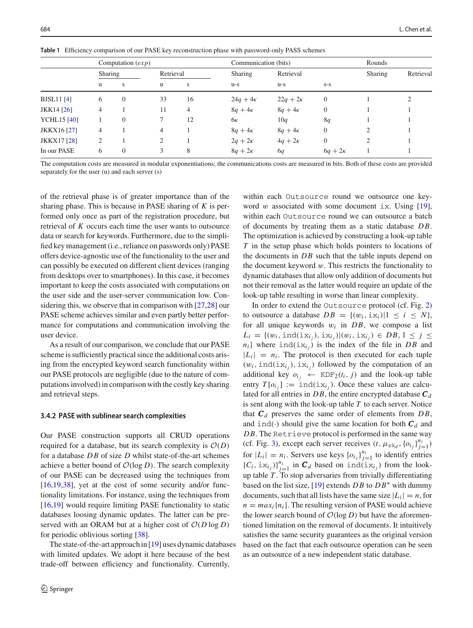684 L. Chen et al.

**Table 1** Efficiency comparison of our PASE key reconstruction phase with password-only PASS schemes

<span id="page-9-0"></span>

|                    | Computation $(exp)$ |          |                | Communication (bits) |                | Rounds     |                |                |           |
|--------------------|---------------------|----------|----------------|----------------------|----------------|------------|----------------|----------------|-----------|
|                    | Sharing             |          | Retrieval      |                      | Sharing        | Retrieval  |                | Sharing        | Retrieval |
|                    | u                   | S        | u              | $\mathbf S$          | $u-S$          | $u-S$      | $S-S$          |                |           |
| BJSL11 $[4]$       | 6                   | $\theta$ | 33             | 16                   | $24q + 4k$     | $22q + 2k$ | $\overline{0}$ |                |           |
| JKK14 [26]         | 4                   |          | 11             | $\overline{4}$       | $8q + 4k$      | $8q + 4k$  | $\overline{0}$ |                |           |
| <b>YCHL15</b> [40] |                     | $\Omega$ |                | 12                   | 6к             | 10q        | 8q             |                |           |
| JKKX16 [27]        | 4                   |          | 4              |                      | $8q + 4k$      | $8q + 4k$  | $\theta$       | $\overline{c}$ |           |
| <b>JKKX17 [28]</b> | $\overline{2}$      |          | $\overline{2}$ |                      | $2q + 2\kappa$ | $4q + 2k$  | $\theta$       | $\overline{c}$ |           |
| In our PASE        | 6                   | $\Omega$ | 3              | 8                    | $8q + 2\kappa$ | 6q         | $6q + 2\kappa$ |                |           |

The computation costs are measured in modular exponentiations; the communications costs are measured in bits. Both of these costs are provided separately for the user (u) and each server (s)

of the retrieval phase is of greater importance than of the sharing phase. This is because in PASE sharing of *K* is performed only once as part of the registration procedure, but retrieval of *K* occurs each time the user wants to outsource data or search for keywords. Furthermore, due to the simplified key management (i.e., reliance on passwords only) PASE offers device-agnostic use of the functionality to the user and can possibly be executed on different client devices (ranging from desktops over to smartphones). In this case, it becomes important to keep the costs associated with computations on the user side and the user-server communication low. Considering this, we observe that in comparison with [\[27](#page-18-22)[,28\]](#page-18-16) our PASE scheme achieves similar and even partly better performance for computations and communication involving the user device.

As a result of our comparison, we conclude that our PASE scheme is sufficiently practical since the additional costs arising from the encrypted keyword search functionality within our PASE protocols are negligible (due to the nature of computations involved) in comparison with the costly key sharing and retrieval steps.

#### **3.4.2 PASE with sublinear search complexities**

Our PASE construction supports all CRUD operations required for a database, but its search complexity is  $O(D)$ for a database *DB* of size *D* whilst state-of-the-art schemes achieve a better bound of  $O(\log D)$ . The search complexity of our PASE can be decreased using the techniques from  $[16,19,38]$  $[16,19,38]$  $[16,19,38]$  $[16,19,38]$ , yet at the cost of some security and/or functionality limitations. For instance, using the techniques from [\[16](#page-18-27)[,19\]](#page-18-28) would require limiting PASE functionality to static databases loosing dynamic updates. The latter can be preserved with an ORAM but at a higher cost of  $O(D \log D)$ for periodic oblivious sorting [\[38](#page-18-29)].

The state-of-the-art approach in [\[19](#page-18-28)] uses dynamic databases with limited updates. We adopt it here because of the best trade-off between efficiency and functionality. Currently,

within each Outsource round we outsource one keyword  $w$  associated with some document ix. Using  $[19]$  $[19]$ , within each Outsource round we can outsource a batch of documents by treating them as a static database *DB*. The optimization is achieved by constructing a look-up table *T* in the setup phase which holds pointers to locations of the documents in *DB* such that the table inputs depend on the document keyword  $w$ . This restricts the functionality to dynamic databases that allow only addition of documents but not their removal as the latter would require an update of the look-up table resulting in worse than linear complexity.

In order to extend the Outsource protocol (cf. Fig. [2\)](#page-7-0) to outsource a database  $DB = \{(w_i, \text{ix}_i)|1 \leq i \leq N\}$ , for all unique keywords  $w_i$  in  $DB$ , we compose a list  $L_i$  = { $(w_i, \text{ind}(\text{i}x_{i_i}), \text{i}x_{i_i})|(w_i, \text{i}x_{i_i}) \in DB, 1 ≤ j ≤ j$  $n_i$ } where ind(ix<sub>i</sub>) is the index of the file in *DB* and  $|L_i| = n_i$ . The protocol is then executed for each tuple  $(w_i, \text{ind}(\text{ix}_i), \text{ix}_i)$  followed by the computation of an additional key  $o_{i_j} \leftarrow \text{KDF}_2(t_i, j)$  and the look-up table entry  $T[o_{i_j}] := \text{ind}(\text{i}x_{i_j})$ . Once these values are calculated for all entries in  $DB$ , the entire encrypted database  $C_d$ is sent along with the look-up table *T* to each server. Notice that  $C_d$  preserves the same order of elements from  $DB$ , and  $ind(\cdot)$  should give the same location for both  $C_d$  and *DB*. The Retrieve protocol is performed in the same way (cf. Fig. [3\)](#page-8-0), except each server receives  $(t, \mu_{skd}, {\lbrace o_i_j \rbrace}_{j=1}^{n_i})$ for  $|L_i| = n_i$ . Servers use keys  $\{o_{i_j}\}_{j=1}^{n_i}$  to identify entries  ${C_i, \, \mathrm{i}x_{i_j}}\big)_{j=1}^{n_i}$  in  $C_d$  based on  $\mathrm{i}n\mathrm{d}(\mathrm{i}x_{i_j})$  from the lookup table *T* . To stop adversaries from trivially differentiating based on the list size, [\[19](#page-18-28)] extends *DB* to *DB*∗ with dummy documents, such that all lists have the same size  $|L_i| = n$ , for  $n = max_i \{n_i\}$ . The resulting version of PASE would achieve the lower search bound of  $O(\log D)$  but have the aforementioned limitation on the removal of documents. It intuitively satisfies the same security guarantees as the original version based on the fact that each outsource operation can be seen as an outsource of a new independent static database.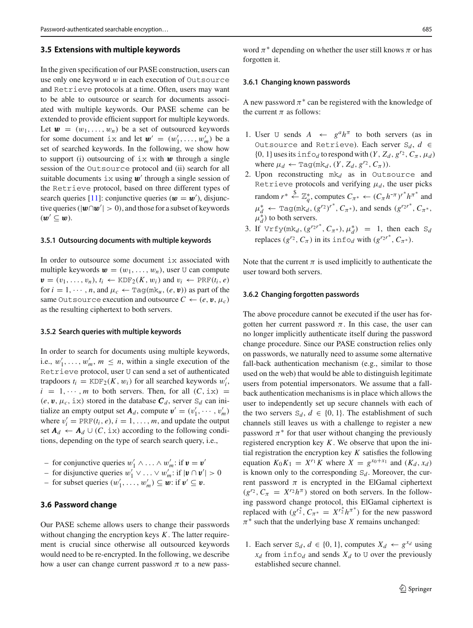#### <span id="page-10-0"></span>**3.5 Extensions with multiple keywords**

In the given specification of our PASE construction, users can use only one keyword w in each execution of Outsource and Retrieve protocols at a time. Often, users may want to be able to outsource or search for documents associated with multiple keywords. Our PASE scheme can be extended to provide efficient support for multiple keywords. Let  $\mathbf{w} = (w_1, \ldots, w_n)$  be a set of outsourced keywords for some document ix and let  $\mathbf{w}' = (w'_1, \dots, w'_m)$  be a set of searched keywords. In the following, we show how to support (i) outsourcing of  $ix$  with w through a single session of the Outsource protocol and (ii) search for all suitable documents ix using  $w'$  through a single session of the Retrieve protocol, based on three different types of search queries [\[11](#page-18-30)]: conjunctive queries  $(w = w')$ , disjunctive queries ( $|\boldsymbol{w} \cap \boldsymbol{w}'| > 0$ ), and those for a subset of keywords  $(w' \subseteq w)$ .

#### **3.5.1 Outsourcing documents with multiple keywords**

In order to outsource some document ix associated with multiple keywords  $\mathbf{w} = (w_1, \dots, w_n)$ , user U can compute  $v = (v_1, \ldots, v_n), t_i \leftarrow \text{KDF}_2(K, w_i)$  and  $v_i \leftarrow \text{PRF}(t_i, e)$ for  $i = 1, \dots, n$ , and  $\mu_c \leftarrow \text{Tag}(\text{mk}_u, (e, \mathbf{v}))$  as part of the same Outsource execution and outsource  $C \leftarrow (e, v, \mu_c)$ as the resulting ciphertext to both servers.

### **3.5.2 Search queries with multiple keywords**

In order to search for documents using multiple keywords, i.e.,  $w'_1, \ldots, w'_m, m \leq n$ , within a single execution of the Retrieve protocol, user U can send a set of authenticated trapdoors  $t_i = \text{KDF}_2(K, w_i)$  for all searched keywords  $w'_i$ ,  $i = 1, \dots, m$  to both servers. Then, for all  $(C, ix)$  $(e, v, \mu_c, \text{ix})$  stored in the database  $C_d$ , server  $S_d$  can initialize an empty output set  $\mathbf{A}_d$ , compute  $\mathbf{v}' = (v'_1, \dots, v'_m)$ where  $v'_i = \text{PRF}(t_i, e), i = 1, \ldots, m$ , and update the output set  $A_d \leftarrow A_d \cup (C, \text{ix})$  according to the following conditions, depending on the type of search search query, i.e.,

 $-$  for conjunctive queries  $w'_1$  ∧ . . . ∧  $w'_m$ : if  $v = v'$ 

- $-$  for disjunctive queries  $w'_1 \vee \ldots \vee w'_m$ : if  $|v \cap v'| > 0$
- $-$  for subset queries  $(w'_1, \ldots, w'_m) \subseteq w$ : if  $v' \subseteq v$ .

## **3.6 Password change**

Our PASE scheme allows users to change their passwords without changing the encryption keys *K*. The latter requirement is crucial since otherwise all outsourced keywords would need to be re-encrypted. In the following, we describe how a user can change current password  $\pi$  to a new pass-

word  $\pi^*$  depending on whether the user still knows  $\pi$  or has forgotten it.

#### **3.6.1 Changing known passwords**

A new password  $\pi^*$  can be registered with the knowledge of the current  $\pi$  as follows:

- 1. User U sends  $A \leftarrow g^a h^{\pi}$  to both servers (as in Outsource and Retrieve). Each server  $S_d$ ,  $d \in$  $\{0, 1\}$  uses its info<sub>d</sub> to respond with  $(Y, Z_d, g^{r_2}, C_\pi, \mu_d)$ where  $\mu_d \leftarrow \text{Tag}(\text{mk}_d, (Y, Z_d, g^{r_2}, C_\pi)).$
- 2. Upon reconstructing mk*<sup>d</sup>* as in Outsource and Retrieve protocols and verifying  $\mu_d$ , the user picks random  $r^* \stackrel{\$}{\leftarrow} \mathbb{Z}_q^*$ , computes  $C_{\pi^*} \leftarrow (C_{\pi} h^{-\pi})^{r^*} h^{\pi^*}$  and  $\mu_d^* \leftarrow \text{Tag}(\text{mk}_d, (g^{r_2})^{r^*}, C_{\pi^*})$ , and sends  $(g^{r_2 r^*}, C_{\pi^*},$  $\mu_d^*$ ) to both servers.
- 3. If  $\forall x \exists y (mk_d, (g^{r_2 r^*}, C_{\pi^*}), \mu_d^*) = 1$ , then each S<sub>*d*</sub> replaces  $(g^{r_2}, C_\pi)$  in its info<sub>d</sub> with  $(g^{r_2r^*}, C_{\pi^*})$ .

Note that the current  $\pi$  is used implicitly to authenticate the user toward both servers.

#### **3.6.2 Changing forgotten passwords**

The above procedure cannot be executed if the user has forgotten her current password  $\pi$ . In this case, the user can no longer implicitly authenticate itself during the password change procedure. Since our PASE construction relies only on passwords, we naturally need to assume some alternative fall-back authentication mechanism (e.g., similar to those used on the web) that would be able to distinguish legitimate users from potential impersonators. We assume that a fallback authentication mechanisms is in place which allows the user to independently set up secure channels with each of the two servers  $S_d$ ,  $d \in \{0, 1\}$ . The establishment of such channels still leaves us with a challenge to register a new password  $\pi^*$  for that user without changing the previously registered encryption key *K*. We observe that upon the initial registration the encryption key *K* satisfies the following equation  $K_0 K_1 = X^{r_1} K$  where  $X = g^{x_0 + x_1}$  and  $(K_d, x_d)$ is known only to the corresponding  $S_d$ . Moreover, the current password  $\pi$  is encrypted in the ElGamal ciphertext  $(g^{r_2}, C_\pi = X^{r_2} h^\pi)$  stored on both servers. In the following password change protocol, this ElGamal ciphertext is replaced with  $(g^{r_2^*}, C_{\pi^*} = X^{r_2^*} h^{\pi^*})$  for the new password  $\pi^*$  such that the underlying base *X* remains unchanged:

1. Each server  $S_d$ ,  $d \in \{0, 1\}$ , computes  $X_d \leftarrow g^{x_d}$  using  $x_d$  from info<sub>d</sub> and sends  $X_d$  to U over the previously established secure channel.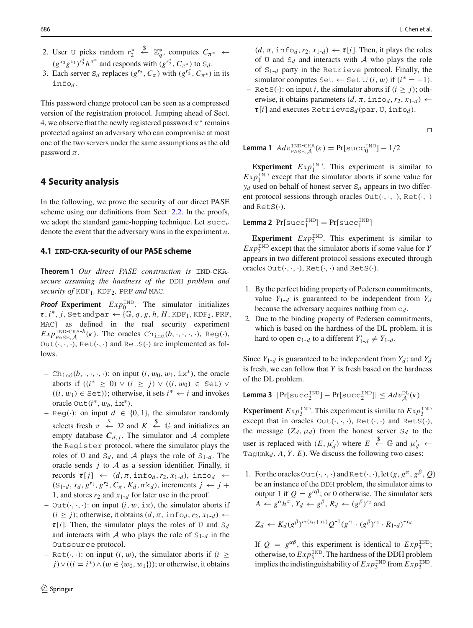- 2. User  $\cup$  picks random  $r_2^*$  $\overset{\$}{\leftarrow} \mathbb{Z}_q^*$ , computes  $C_{\pi^*} \leftarrow$  $(g^{x_0}g^{x_1})^{r_2^*}h^{\pi^*}$  and responds with  $(g^{r_2^*}, C_{\pi^*})$  to  $S_d$ .
- 3. Each server  $S_d$  replaces  $(g^{r_2}, C_{\pi})$  with  $(g^{r_2^*}, C_{\pi^*})$  in its info*<sup>d</sup>* .

This password change protocol can be seen as a compressed version of the registration protocol. Jumping ahead of Sect. [4,](#page-11-0) we observe that the newly registered password  $\pi^*$  remains protected against an adversary who can compromise at most one of the two servers under the same assumptions as the old password  $\pi$ .

# <span id="page-11-0"></span>**4 Security analysis**

In the following, we prove the security of our direct PASE scheme using our definitions from Sect. [2.2.](#page-3-0) In the proofs, we adopt the standard game-hopping technique. Let succ*<sup>n</sup>* denote the event that the adversary wins in the experiment *n*.

# **4.1 IND-CKA-security of our PASE scheme**

**Theorem 1** *Our direct PASE construction is* IND*-*CKA*secure assuming the hardness of the* DDH *problem and security of* KDF1*,* KDF2*,* PRF *and* MAC*.*

**Proof Experiment**  $Exp_0^{\text{IND}}$ . The simulator initializes  $\tau$ ,  $i^*$ ,  $j$ , Set and par  $\leftarrow$  { $\mathbb{G}$ ,  $q$ ,  $g$ ,  $h$ ,  $H$ , KDF<sub>1</sub>, KDF<sub>2</sub>, PRF, MAC} as defined in the real security experiment  $Exp_{\text{PASE},\mathcal{A}}^{\text{IND-CKA-}b}$ (*k*). The oracles  $\text{Ch}_{\text{ind}}(b,\cdot,\cdot,\cdot,\cdot)$ , Reg(·),  $Out(\cdot, \cdot, \cdot)$ , Ret $(\cdot, \cdot)$  and RetS( $\cdot$ ) are implemented as follows.

- Ch<sub>ind</sub> $(b, \cdot, \cdot, \cdot, \cdot)$ : on input  $(i, w_0, w_1, \text{ix}^*)$ , the oracle aborts if  $((i^* \geq 0) \vee (i \geq j) \vee ((i, w_0) \in \text{Set}) \vee$  $((i, w<sub>1</sub>) ∈ Set))$ ; otherwise, it sets  $i^* ← i$  and invokes oracle  $\text{Out}(i^*, w_h, \text{ix}^*)$ .
- Reg(·): on input  $d \in \{0, 1\}$ , the simulator randomly selects fresh  $\pi \stackrel{\$}{\leftarrow} \mathcal{D}$  and  $K \stackrel{\$}{\leftarrow} \mathbb{G}$  and initializes an empty database  $C_{d,j}$ . The simulator and *A* complete the Register protocol, where the simulator plays the roles of U and  $S_d$ , and A plays the role of  $S_{1-d}$ . The oracle sends  $j$  to  $A$  as a session identifier. Finally, it records  $\boldsymbol{\tau}[j] \leftarrow (d, \pi, \text{info}_d, r_2, x_{1-d}), \text{info}_d \leftarrow$  $(S_{1-d}, x_d, g^{r_1}, g^{r_2}, C_{\pi}, K_d, mk_d)$ , increments *j* ← *j* + 1, and stores  $r_2$  and  $x_{1-d}$  for later use in the proof.
- $-$  Out( $\cdot, \cdot, \cdot$ ): on input (*i*, *w*, ix), the simulator aborts if  $(i \geq j)$ ; otherwise, it obtains  $(d, \pi, \text{info}_d, r_2, x_{1-d}) \leftarrow$  $\tau[i]$ . Then, the simulator plays the roles of U and  $S_d$ and interacts with  $A$  who plays the role of  $S_{1-d}$  in the Outsource protocol.
- Ret( $\cdot$ ,  $\cdot$ ): on input (*i*, *w*), the simulator aborts if (*i*  $\geq$ *j*)  $\lor$  ((*i* = *i*<sup>\*</sup>)  $\land$  (*w* ∈ {*w*<sub>0</sub>, *w*<sub>1</sub>})); or otherwise, it obtains

 $(d, \pi, \text{info}_d, r_2, x_{1-d}) \leftarrow \tau[i]$ . Then, it plays the roles of U and  $S_d$  and interacts with A who plays the role of S1-*<sup>d</sup>* party in the Retrieve protocol. Finally, the simulator computes Set  $\leftarrow$  Set  $\cup$  (*i*, *w*) if (*i*<sup>\*</sup> = −1).

 $-$  RetS( $\cdot$ ): on input *i*, the simulator aborts if  $(i \ge j)$ ; otherwise, it obtains parameters  $(d, \pi, \text{info}_d, r_2, x_{1-d}) \leftarrow$  $\tau[i]$  and executes RetrieveS<sub>d</sub>(par, U, info<sub>d</sub>).

 $\Box$ 

<span id="page-11-1"></span>**Lemma 1**  $Adv_{\text{PASE,}\mathcal{A}}^{\text{IND-CKA}}(\kappa) = \Pr[\text{succ}_{0}^{\text{CND}}] - 1/2$ 

**Experiment**  $Exp_1^{\text{IND}}$ . This experiment is similar to  $Exp_1^{\text{IND}}$  except that the simulator aborts if some value for *yd* used on behalf of honest server S*<sup>d</sup>* appears in two different protocol sessions through oracles  $Out(\cdot, \cdot, \cdot)$ , Ret $(\cdot, \cdot)$ and  $\text{RetS}(\cdot)$ .

**Lemma 2**  $Pr[\text{succ}_1^{\text{IND}}] = Pr[\text{succ}_1^{\text{IND}}]$ 

**Experiment**  $Exp_2^{\text{IND}}$ . This experiment is similar to  $Exp_2^{\text{IND}}$  except that the simulator aborts if some value for *Y* appears in two different protocol sessions executed through oracles  $Out(\cdot, \cdot, \cdot)$ , Ret $(\cdot, \cdot)$  and RetS $(\cdot)$ .

- 1. By the perfect hiding property of Pedersen commitments, value  $Y_{1-d}$  is guaranteed to be independent from  $Y_d$ because the adversary acquires nothing from c*<sup>d</sup>* .
- 2. Due to the binding property of Pedersen commitments, which is based on the hardness of the DL problem, it is hard to open  $c_{1-d}$  to a different  $Y'_{1-d} \neq Y_{1-d}$ .

Since  $Y_{1-d}$  is guaranteed to be independent from  $Y_d$ ; and  $Y_d$ is fresh, we can follow that *Y* is fresh based on the hardness of the DL problem.

**Lemma 3** 
$$
|Pr[\text{succ}_2^{\text{IND}}] - Pr[\text{succ}_2^{\text{IND}}]| \leq A dv^{\text{DL}}_{\mathcal{A}}(\kappa)
$$

**Experiment**  $Exp_3^{\text{IND}}$ . This experiment is similar to  $Exp_3^{\text{IND}}$ except that in oracles  $Out(\cdot, \cdot, \cdot)$ , Ret $(\cdot, \cdot)$  and RetS $(\cdot)$ , the message  $(Z_d, \mu_d)$  from the honest server  $S_d$  to the user is replaced with  $(E, \mu_d)$  where  $E \stackrel{\$}{\leftarrow} \mathbb{G}$  and  $\mu_d' \leftarrow$ Tag( $mk_d$ ,  $A$ ,  $Y$ ,  $E$ ). We discuss the following two cases:

1. For the oracles Out $(\cdot, \cdot, \cdot)$  and Ret $(\cdot, \cdot)$ , let  $(g, g^{\alpha}, g^{\beta}, Q)$ be an instance of the DDH problem, the simulator aims to output 1 if  $Q = g^{\alpha\beta}$ ; or 0 otherwise. The simulator sets  $A \leftarrow g^{\alpha} h^{\pi}, Y_d \leftarrow g^{\beta}, R_d \leftarrow (g^{\beta})^{r_2}$  and

$$
Z_d \leftarrow K_d (g^{\beta})^{r_2(x_0+x_1)} Q^{-1} (g^{r_1} \cdot (g^{\beta})^{r_2} \cdot R_{1-d})^{x_d}
$$

If  $Q = g^{\alpha\beta}$ , this experiment is identical to  $Exp_3^{\text{IND}}$ ; otherwise, to  $Exp_3^{\text{IND}}$ . The hardness of the DDH problem implies the indistinguishability of  $Exp_3^{\text{IND}}$  from  $Exp_3^{\text{IND}}$ .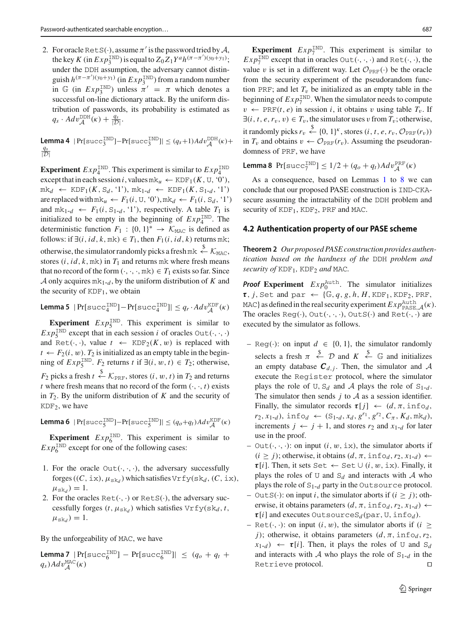2. For oracle RetS( $\cdot$ ), assume  $\pi'$  is the password tried by A, the key *K* (in  $Exp_3^{\text{IND}}$ ) is equal to  $Z_0Z_1Y^ah^{(\pi-\pi')(y_0+y_1)}$ ; under the DDH assumption, the adversary cannot distinguish  $h^{(\pi-\pi')}(y_0+y_1)$  (in  $Exp_3^{\text{IND}}$ ) from a random number in  $\mathbb G$  (in  $Exp_3^{\text{IND}}$ ) unless  $\pi' = \pi$  which denotes a successful on-line dictionary attack. By the uniform distribution of passwords, its probability is estimated as  $q_s \cdot A d v^{\text{DDH}}_{\mathcal{A}}(\kappa) + \frac{q_s}{|\mathcal{D}|}.$ 

**Lemma 4** |
$$
Pr[\text{succ}_3^{\text{TND}}]
$$
- $Pr[\text{succ}_3^{\text{TND}}]$ |  $\leq (q_s+1)Adv_{\mathcal{A}}^{\text{DDH}}(\kappa)+ \frac{q_s}{|\mathcal{D}|}$ 

**Experiment**  $Exp_4^{\text{IND}}$ . This experiment is similar to  $Exp_4^{\text{IND}}$ except that in each session *i*, values  $mk_u \leftarrow KDF_1(K, U, '0'),$  $mk_d \leftarrow \text{KDF}_1(K, S_d, '1'), mk_{1-d} \leftarrow \text{KDF}_1(K, S_{1-d}, '1')$ are replaced with  $mk_u \leftarrow F_1(i, U, '0'), mk_d \leftarrow F_1(i, S_d, '1')$ and  $mk_{1-d} \leftarrow F_1(i, S_{1-d}, '1')$ , respectively. A table  $T_1$  is initialized to be empty in the beginning of  $Exp_4^{\text{IND}}$ . The deterministic function  $F_1$  : {0, 1}<sup>\*</sup> →  $\mathcal{K}_{\text{MAC}}$  is defined as follows: if  $\exists (i, id, k, \text{mk}) \in T_1$ , then  $F_1(i, id, k)$  returns mk; otherwise, the simulator randomly picks a fresh mk  $\stackrel{\$}{\leftarrow}$   $\mathcal{K}_{\text{MAC}}$ , stores  $(i, id, k, mk)$  in  $T_1$  and returns mk where fresh means that no record of the form  $(\cdot, \cdot, \cdot, m\kappa) \in T_1$  exists so far. Since *A* only acquires  $mk_{1-d}$ , by the uniform distribution of *K* and the security of  $KDF<sub>1</sub>$ , we obtain

**Lemma 5**  $|Pr[\text{succ}_4^{\text{IND}}] - Pr[\text{succ}_4^{\text{IND}}]| \leq q_r \cdot Adv_{\mathcal{A}}^{\text{KDF}}(\kappa)$ 

**Experiment**  $Exp_5^{\text{IND}}$ . This experiment is similar to  $Exp_5^{\text{IND}}$  except that in each session *i* of oracles  $Out(\cdot, \cdot, \cdot)$ and Ret( $\cdot$ ,  $\cdot$ ), value  $t \leftarrow \text{KDF}_2(K, w)$  is replaced with  $t \leftarrow F_2(i, w)$ .  $T_2$  is initialized as an empty table in the beginning of  $Exp_5^{\text{IND}}$ .  $F_2$  returns *t* if  $\exists (i, w, t) \in T_2$ ; otherwise, *F*<sub>2</sub> picks a fresh *t*  $\xleftarrow{\$}$   $\mathcal{K}_{\text{PRF}}$ , stores  $(i, w, t)$  in  $T_2$  and returns *t* where fresh means that no record of the form  $(\cdot, \cdot, t)$  exists in  $T_2$ . By the uniform distribution of  $K$  and the security of  $KDF<sub>2</sub>$ , we have

**Lemma 6**  $|Pr[\text{succ}_5^{\text{IND}}] - Pr[\text{succ}_5^{\text{IND}}]| \leq (q_o + q_t)A d v_A^{\text{KDF}}(\kappa)$ 

**Experiment**  $Exp_6^{\text{IND}}$ . This experiment is similar to  $Exp_6^{\text{IND}}$  except for one of the following cases:

- 1. For the oracle  $Out(\cdot, \cdot, \cdot)$ , the adversary successfully forges  $((C, ix), \mu_{sk})$  which satisfies  $Vrfy(sk_d, (C, ix),$  $\mu_{\text{sk}_d}$ ) = 1.
- 2. For the oracles  $Ret(\cdot, \cdot)$  or  $RetS(\cdot)$ , the adversary successfully forges  $(t, \mu_{sk_d})$  which satisfies  $Vrfy(sk_d, t,$  $\mu_{sk_d}$ ) = 1.

By the unforgeability of MAC, we have

**Lemma 7**  $|Pr[\text{succ}_6^{\text{IND}}] - Pr[\text{succ}_6^{\text{IND}}]| \leq (q_o + q_t +$  $q_s$ )*Ad* $v_{\mathcal{A}}^{\text{MAC}}(\kappa)$ 

**Experiment**  $Exp_7^{\text{IND}}$ . This experiment is similar to  $Exp_7^{\text{IND}}$  except that in oracles  $Out(\cdot, \cdot, \cdot)$  and  $Ret(\cdot, \cdot)$ , the value v is set in a different way. Let  $\mathcal{O}_{\text{PRF}}(\cdot)$  be the oracle from the security experiment of the pseudorandom function PRF; and let  $T<sub>v</sub>$  be initialized as an empty table in the beginning of  $Exp_7^{\text{IND}}$ . When the simulator needs to compute  $v \leftarrow \text{PRF}(t, e)$  in session *i*, it obtains *v* using table  $T_v$ . If  $\exists (i, t, e, r_v, v) \in T_v$ , the simulator uses v from  $T_v$ ; otherwise, it randomly picks  $r_v \stackrel{\$}{\leftarrow} \{0, 1\}^k$ , stores  $(i, t, e, r_v, \mathcal{O}_{\text{PRF}}(r_v))$ in  $T_v$  and obtains  $v \leftarrow \mathcal{O}_{\text{PRF}}(r_v)$ . Assuming the pseudorandomness of PRF, we have

<span id="page-12-0"></span>**Lemma 8**  $Pr[\text{succ}_{7}^{\text{IND}}] \le 1/2 + (q_o + q_t)Adv_{\mathcal{A}}^{\text{PRF}}(\kappa)$ 

As a consequence, based on Lemmas [1](#page-11-1) to [8](#page-12-0) we can conclude that our proposed PASE construction is IND-CKAsecure assuming the intractability of the DDH problem and security of  $KDF_1$ ,  $KDF_2$ , PRF and MAC.

## **4.2 Authentication property of our PASE scheme**

**Theorem 2** *Our proposed PASE construction provides authentication based on the hardness of the* DDH *problem and security of* KDF1*,* KDF<sup>2</sup> *and* MAC*.*

**Proof Experiment**  $Exp_0^{\text{auth}}$ . The simulator initializes  $\tau$ , *j*, Set and par  $\leftarrow \{\mathbb{G}, q, g, h, H, \text{KDF}_1, \text{KDF}_2, \text{PRF}, \text{SDF}_3, \text{PRF}_4, \text{SDF}_4, \text{RDF}_5, \text{PRF}_6, \text{RDF}_7, \text{PRF}_7, \text{RDF}_8, \text{PRF}_8, \text{RDF}_9, \text{PRF}_9, \text{PRF}_8, \text{PRF}_9, \text{PRF}_9, \text{PRF}_9, \text{PRF}_9, \text{PRF}_9, \text{PRF}_9, \text{PRF}_9, \text{PRF$ MAC} as defined in the real security experiment  $Exp_{\text{PASE,}\mathcal{A}}^{\text{Auth}}(\kappa)$ . The oracles  $Reg(\cdot), Out(\cdot, \cdot, \cdot)$ , OutS $(\cdot)$  and  $Ret(\cdot, \cdot)$  are executed by the simulator as follows.

- Reg(·): on input  $d \in \{0, 1\}$ , the simulator randomly selects a fresh  $\pi \stackrel{\$}{\leftarrow} \mathcal{D}$  and  $K \stackrel{\$}{\leftarrow} \mathbb{G}$  and initializes an empty database  $C_{d,j}$ . Then, the simulator and A execute the Register protocol, where the simulator plays the role of U,  $S_d$  and A plays the role of  $S_{1-d}$ . The simulator then sends  $j$  to  $A$  as a session identifier. Finally, the simulator records  $\tau[j] \leftarrow (d, \pi, \text{info}_d,$  $r_2, x_{1-d}$ , info<sub>*d*</sub>  $\leftarrow$  (S<sub>1-*d*</sub>,  $x_d, g^{r_1}, g^{r_2}, C_\pi, K_d, mk_d$ ), increments  $j \leftarrow j + 1$ , and stores  $r_2$  and  $x_{1-d}$  for later use in the proof.
- $-$  Out( $\cdot, \cdot, \cdot$ ): on input (*i*, *w*, ix), the simulator aborts if  $(i \geq j)$ ; otherwise, it obtains  $(d, \pi, \text{info}_d, r_2, x_{1-d}) \leftarrow$  $\tau[i]$ . Then, it sets Set  $\leftarrow$  Set  $\cup$   $(i, w, \text{ix})$ . Finally, it plays the roles of U and  $S_d$  and interacts with  $A$  who plays the role of S1-*<sup>d</sup>* party in the Outsource protocol.
- OutS(·): on input *i*, the simulator aborts if (*i* ≥ *j*); otherwise, it obtains parameters  $(d, \pi, \text{info}_d, r_2, x_{1-d}) \leftarrow$  $\tau[i]$  and executes OutsourceS<sub>d</sub>(par, U, info<sub>d</sub>).
- Ret( $\cdot$ ,  $\cdot$ ): on input  $(i, w)$ , the simulator aborts if  $(i >$ *j*); otherwise, it obtains parameters  $(d, \pi, \text{info}_d, r_2)$ ,  $x_{1-d}$   $\leftarrow \tau[i]$ . Then, it plays the roles of U and S<sub>d</sub> and interacts with *A* who plays the role of  $S_{1-d}$  in the Retrieve protocol. Retrieve protocol.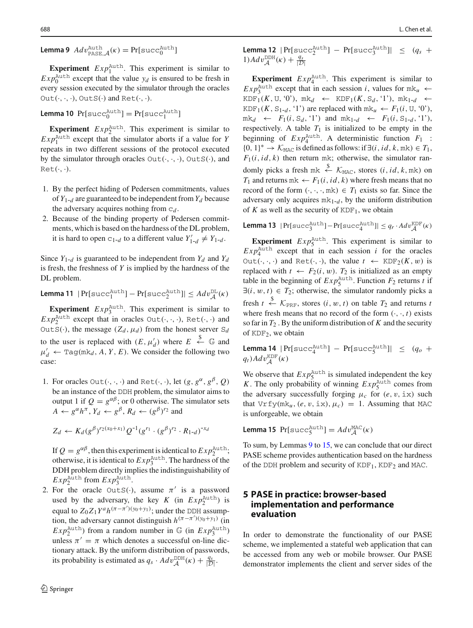<span id="page-13-1"></span>**Lemma 9**  $Adv_{\text{PASE},\mathcal{A}}^{\text{Auth}}(\kappa) = \Pr[\text{succ}_0^{\text{Auth}}]$ 

**Experiment**  $Exp_1^{\text{auth}}$ . This experiment is similar to  $Exp_0^{\text{Auth}}$  except that the value  $y_d$  is ensured to be fresh in every session executed by the simulator through the oracles  $Out(\cdot, \cdot, \cdot)$ , OutS $(\cdot)$  and Ret $(\cdot, \cdot)$ .

**Lemma 10**  $Pr[\text{succ}_0^{\text{Auth}}] = Pr[\text{succ}_1^{\text{Auth}}]$ 

**Experiment**  $Exp_2^{\text{auth}}$ . This experiment is similar to  $Exp_1^{\text{Auth}}$  except that the simulator aborts if a value for *Y* repeats in two different sessions of the protocol executed by the simulator through oracles  $Out(\cdot, \cdot, \cdot)$ ,  $OutS(\cdot)$ , and  $Ret(\cdot, \cdot).$ 

- 1. By the perfect hiding of Pedersen commitments, values of  $Y_{1-d}$  are guaranteed to be independent from  $Y_d$  because the adversary acquires nothing from c*<sup>d</sup>* .
- 2. Because of the binding property of Pedersen commitments, which is based on the hardness of the DL problem, it is hard to open  $c_{1-d}$  to a different value  $Y'_{1-d} \neq Y_{1-d}$ .

Since  $Y_{1-d}$  is guaranteed to be independent from  $Y_d$  and  $Y_d$ is fresh, the freshness of *Y* is implied by the hardness of the DL problem.

**Lemma 11**  $|Pr[\text{succ}_1^{\text{Auth}}] - Pr[\text{succ}_2^{\text{Auth}}]| \leq A d v_{\mathcal{A}}^{\text{DL}}(\kappa)$ 

**Experiment**  $Exp_3^{\text{auth}}$ . This experiment is similar to  $Exp_2^{\text{Auth}}$  except that in oracles  $Out(\cdot, \cdot, \cdot)$ , Ret $(\cdot, \cdot)$  and OutS( $\cdot$ ), the message ( $Z_d$ ,  $\mu_d$ ) from the honest server S<sub>d</sub> to the user is replaced with  $(E, \mu_d)$  where  $E \leftarrow \mathbb{G}$  and  $\mu'_d \leftarrow \text{Tag}(\text{mk}_d, A, Y, E)$ . We consider the following two case:

1. For oracles  $Out(\cdot, \cdot, \cdot)$  and  $Ret(\cdot, \cdot)$ , let  $(g, g^{\alpha}, g^{\beta}, Q)$ be an instance of the DDH problem, the simulator aims to output 1 if  $Q = g^{\alpha\beta}$ ; or 0 otherwise. The simulator sets  $A \leftarrow g^{\alpha} h^{\pi}, Y_d \leftarrow g^{\beta}, R_d \leftarrow (g^{\beta})^{r_2}$  and

$$
Z_d \leftarrow K_d (g^{\beta})^{r_2(x_0+x_1)} Q^{-1} (g^{r_1} \cdot (g^{\beta})^{r_2} \cdot R_{1-d})^{-x_d}
$$

If  $Q = g^{\alpha\beta}$ , then this experiment is identical to  $Exp_2^{\text{Auth}}$ ; otherwise, it is identical to  $Exp_3^{\text{With}}$ . The hardness of the DDH problem directly implies the indistinguishability of  $Exp_2^{\text{Auth}}$  from  $Exp_3^{\text{Auth}}$ .

2. For the oracle  $OutS(.)$ , assume  $\pi'$  is a password used by the adversary, the key *K* (in  $Exp_2^{\text{Auth}}$ ) is equal to  $Z_0Z_1Y^a h^{(\pi-\pi')(y_0+y_1)}$ ; under the DDH assumption, the adversary cannot distinguish  $h^{(\pi - \pi')(y_0 + y_1)}$  (in  $Exp_2^{\text{Auth}}$ ) from a random number in  $\mathbb{G}$  (in  $Exp_3^{\text{Auth}}$ ) unless  $\pi' = \pi$  which denotes a successful on-line dictionary attack. By the uniform distribution of passwords, its probability is estimated as  $q_s \cdot Adv^{\text{DDH}}_{\mathcal{A}}(\kappa) + \frac{q_s}{|\mathcal{D}|}.$ 

 $\text{Lemma 12}$  |Pr[succ<sup>Auth</sup>] – Pr[succ<sup>Auth</sup>]|  $\leq$  (*qs* +  $1)$ *Ad* $v_{\mathcal{A}}^{\text{DDH}}(\kappa) + \frac{q_s}{|\mathcal{D}|}$ 

**Experiment**  $Exp_4^{\text{auth}}$ . This experiment is similar to  $Exp_3^{\text{Auth}}$  except that in each session *i*, values for  $mk_u \leftarrow$  $KDF_1(K, U, '0'), mk_d ← KDF_1(K, S_d, '1'), mk_{1-d} ←$  $KDF_1(K, S_{1-d}, '1')$  are replaced with  $mk_u \leftarrow F_1(i, U, '0'),$  $mk_d \leftarrow F_1(i, S_d, '1')$  and  $mk_{1-d} \leftarrow F_1(i, S_{1-d}, '1'),$ respectively. A table  $T_1$  is initialized to be empty in the beginning of  $Exp_4^{\text{auth}}$ . A deterministic function  $F_1$  :  $\{0, 1\}^* \rightarrow \mathcal{K}_{\text{MAC}}$  is defined as follows: if  $\exists (i, id, k, \text{mk}) \in T_1$ ,  $F_1(i, id, k)$  then return mk; otherwise, the simulator randomly picks a fresh mk  $\overset{\$}{\leftarrow}$   $K_{\text{MAC}}$ , stores  $(i, id, k, mk)$  on *T*<sub>1</sub> and returns mk  $\leftarrow$  *F*<sub>1</sub>(*i*, *id*, *k*) where fresh means that no record of the form  $(\cdot, \cdot, \cdot, m\mathbf{k}) \in T_1$  exists so far. Since the adversary only acquires  $mk_{1-d}$ , by the uniform distribution of  $K$  as well as the security of  $KDF_1$ , we obtain

**Lemma 13**  $|Pr[\text{succ}_3^{\text{Auth}}] - Pr[\text{succ}_4^{\text{Auth}}]| \le q_r \cdot Adv_\mathcal{A}^{\text{KDF}}(\kappa)$ 

**Experiment**  $Exp_5^{\text{Auth}}$ . This experiment is similar to  $Exp_4^{\text{Auth}}$  except that in each session *i* for the oracles Out( $\cdot$ ,  $\cdot$ ,  $\cdot$ ) and Ret( $\cdot$ ,  $\cdot$ ), the value  $t \leftarrow \text{KDF}_2(K, w)$  is replaced with  $t \leftarrow F_2(i, w)$ .  $T_2$  is initialized as an empty table in the beginning of  $Exp_5^{\text{Auth}}$ . Function  $F_2$  returns *t* if  $\exists (i, w, t) \in T_2$ ; otherwise, the simulator randomly picks a fresh  $t \stackrel{\$}{\leftarrow} \mathcal{K}_{\text{PRF}}$ , stores  $(i, w, t)$  on table  $T_2$  and returns *t* where fresh means that no record of the form  $(\cdot, \cdot, t)$  exists so far in  $T_2$ . By the uniform distribution of K and the security of KDF2, we obtain

**Lemma 14**  $|Pr[\text{succ}_4^{\text{auth}}] - Pr[\text{succ}_5^{\text{auth}}]| \leq (q_o +$  $q_t$ )*Ad* $v_{\mathcal{A}}^{\text{KDF}}(\kappa)$ 

We observe that  $Exp_5^{\text{Auth}}$  is simulated independent the key *K*. The only probability of winning  $Exp_5^{\text{Auth}}$  comes from the adversary successfully forging  $\mu_c$  for  $(e, v, \text{ix})$  such that  $\forall$ r f $y$ (mk<sub>u</sub>, (*e*, v, ix),  $\mu_c$ ) = 1. Assuming that MAC is unforgeable, we obtain

<span id="page-13-2"></span>**Lemma 15**  $Pr[\text{succ}_5^{\text{Autth}}] = Adv_{\mathcal{A}}^{\text{MAC}}(k)$ 

To sum, by Lemmas [9](#page-13-1) to [15,](#page-13-2) we can conclude that our direct PASE scheme provides authentication based on the hardness of the DDH problem and security of  $KDF_1$ ,  $KDF_2$  and MAC.

# <span id="page-13-0"></span>**5 PASE in practice: browser-based implementation and performance evaluation**

In order to demonstrate the functionality of our PASE scheme, we implemented a stateful web application that can be accessed from any web or mobile browser. Our PASE demonstrator implements the client and server sides of the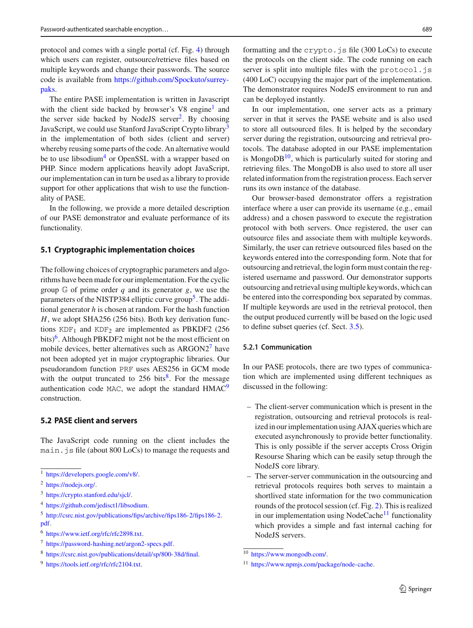protocol and comes with a single portal (cf. Fig. [4\)](#page-15-0) through which users can register, outsource/retrieve files based on multiple keywords and change their passwords. The source code is available from [https://github.com/Spockuto/surrey](https://github.com/Spockuto/surrey-paks)[paks.](https://github.com/Spockuto/surrey-paks)

The entire PASE implementation is written in Javascript with the client side backed by browser's  $V8$  engine<sup>1</sup> and the server side backed by NodeJS server<sup>2</sup>. By choosing JavaScript, we could use Stanford JavaScript Crypto library<sup>3</sup> in the implementation of both sides (client and server) whereby reusing some parts of the code. An alternative would be to use libsodium<sup>4</sup> or OpenSSL with a wrapper based on PHP. Since modern applications heavily adopt JavaScript, our implementation can in turn be used as a library to provide support for other applications that wish to use the functionality of PASE.

In the following, we provide a more detailed description of our PASE demonstrator and evaluate performance of its functionality.

### **5.1 Cryptographic implementation choices**

The following choices of cryptographic parameters and algorithms have been made for our implementation. For the cyclic group  $G$  of prime order  $q$  and its generator  $g$ , we use the parameters of the NISTP384 elliptic curve group<sup>5</sup>. The additional generator *h* is chosen at random. For the hash function *H*, we adopt SHA256 (256 bits). Both key derivation functions  $KDF_1$  and  $KDF_2$  are implemented as PBKDF2 (256 bits)<sup>[6](#page-14-5)</sup>. Although PBKDF2 might not be the most efficient on mobile devices, better alternatives such as  $ARGON2<sup>7</sup>$  $ARGON2<sup>7</sup>$  $ARGON2<sup>7</sup>$  have not been adopted yet in major cryptographic libraries. Our pseudorandom function PRF uses AES256 in GCM mode with the output truncated to  $256$  bits<sup>8</sup>. For the message authentication code MAC, we adopt the standard  $HMAC<sup>9</sup>$ construction.

## **5.2 PASE client and servers**

The JavaScript code running on the client includes the main.js file (about 800 LoCs) to manage the requests and

<span id="page-14-2"></span><sup>4</sup> [https://github.com/jedisct1/libsodium.](https://github.com/jedisct1/libsodium)

formatting and the crypto.  $\dot{\text{1}}$  s file (300 LoCs) to execute the protocols on the client side. The code running on each server is split into multiple files with the protocol.js (400 LoC) occupying the major part of the implementation. The demonstrator requires NodeJS environment to run and can be deployed instantly.

In our implementation, one server acts as a primary server in that it serves the PASE website and is also used to store all outsourced files. It is helped by the secondary server during the registration, outsourcing and retrieval protocols. The database adopted in our PASE implementation is Mongo $DB^{10}$ , which is particularly suited for storing and retrieving files. The MongoDB is also used to store all user related information from the registration process. Each server runs its own instance of the database.

Our browser-based demonstrator offers a registration interface where a user can provide its username (e.g., email address) and a chosen password to execute the registration protocol with both servers. Once registered, the user can outsource files and associate them with multiple keywords. Similarly, the user can retrieve outsourced files based on the keywords entered into the corresponding form. Note that for outsourcing and retrieval, the login form must contain the registered username and password. Our demonstrator supports outsourcing and retrieval using multiple keywords, which can be entered into the corresponding box separated by commas. If multiple keywords are used in the retrieval protocol, then the output produced currently will be based on the logic used to define subset queries (cf. Sect. [3.5\)](#page-10-0).

#### **5.2.1 Communication**

In our PASE protocols, there are two types of communication which are implemented using different techniques as discussed in the following:

- The client-server communication which is present in the registration, outsourcing and retrieval protocols is realized in our implementation using AJAX queries which are executed asynchronously to provide better functionality. This is only possible if the server accepts Cross Origin Resourse Sharing which can be easily setup through the NodeJS core library.
- The server-server communication in the outsourcing and retrieval protocols requires both serves to maintain a shortlived state information for the two communication rounds of the protocol session (cf. Fig. [2\)](#page-7-0). This is realized in our implementation using NodeCache $11$  functionality which provides a simple and fast internal caching for NodeJS servers.

<sup>1</sup> [https://developers.google.com/v8/.](https://developers.google.com/v8/)

<span id="page-14-0"></span><sup>2</sup> [https://nodejs.org/.](https://nodejs.org/)

<span id="page-14-1"></span><sup>3</sup> [https://crypto.stanford.edu/sjcl/.](https://crypto.stanford.edu/sjcl/)

<span id="page-14-4"></span><span id="page-14-3"></span><sup>5</sup> [http://csrc.nist.gov/publications/fips/archive/fips186-2/fips186-2.](http://csrc.nist.gov/publications/fips/archive/fips186-2/fips186-2.pdf) [pdf.](http://csrc.nist.gov/publications/fips/archive/fips186-2/fips186-2.pdf)

<sup>6</sup> [https://www.ietf.org/rfc/rfc2898.txt.](https://www.ietf.org/rfc/rfc2898.txt)

<span id="page-14-5"></span><sup>7</sup> [https://password-hashing.net/argon2-specs.pdf.](https://password-hashing.net/argon2-specs.pdf)

<span id="page-14-6"></span><sup>8</sup> [https://csrc.nist.gov/publications/detail/sp/800-38d/final.](https://csrc.nist.gov/publications/detail/sp/800-38d/final)

<span id="page-14-8"></span><span id="page-14-7"></span><sup>9</sup> [https://tools.ietf.org/rfc/rfc2104.txt.](https://tools.ietf.org/rfc/rfc2104.txt)

<sup>10</sup> [https://www.mongodb.com/.](https://www.mongodb.com/)

<span id="page-14-10"></span><span id="page-14-9"></span><sup>11</sup> [https://www.npmjs.com/package/node-cache.](https://www.npmjs.com/package/node-cache)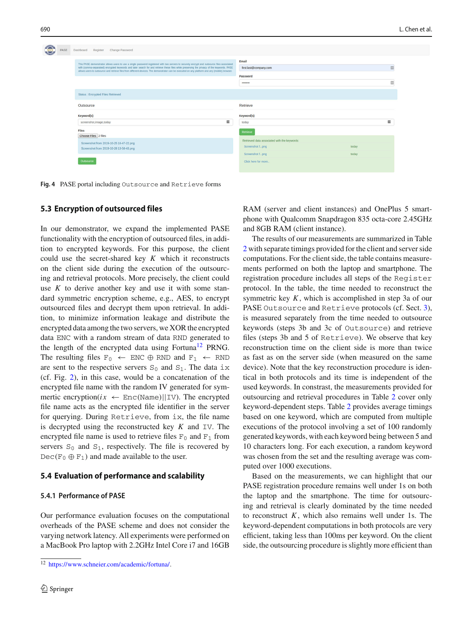| 3<br>PASE | Register Change Password<br>Dashboard                                                                                                                                                                                                                                                     |                                              |        |
|-----------|-------------------------------------------------------------------------------------------------------------------------------------------------------------------------------------------------------------------------------------------------------------------------------------------|----------------------------------------------|--------|
|           |                                                                                                                                                                                                                                                                                           | Email                                        |        |
|           | This PASE demonstrator allows users to use a single password registered with two servers to securely encrypt and outsource files associated<br>with (comma-separated) encrypted keywords and later search for and retrieve these files while preserving the privacy of the keywords. PASE | first.last@company.com                       | $\Box$ |
|           | allows users to outsource and retrieve files from different devices. The demonstrator can be executed on any platform and any (mobile) browser.                                                                                                                                           | Password                                     |        |
|           |                                                                                                                                                                                                                                                                                           |                                              | 圖      |
|           |                                                                                                                                                                                                                                                                                           |                                              |        |
|           | Status : Encrypted Files Retrieved                                                                                                                                                                                                                                                        |                                              |        |
|           | Outsource                                                                                                                                                                                                                                                                                 | <b>Retrieve</b>                              |        |
|           | <b>Keyword(s)</b>                                                                                                                                                                                                                                                                         | <b>Keyword(s)</b>                            |        |
|           | 囩<br>screenshot, image, today                                                                                                                                                                                                                                                             | today                                        | 圖      |
|           | Files<br>Choose Files 2 files                                                                                                                                                                                                                                                             | Retrieve                                     |        |
|           | Screenshot from 2019-10-25 16-47-22.png                                                                                                                                                                                                                                                   | Retrieved data associated with the keywords: |        |
|           | Screenshot from 2019-10-28 13-58-43.png                                                                                                                                                                                                                                                   | Screenshot fpng<br>today                     |        |
|           |                                                                                                                                                                                                                                                                                           | Screenshot fpng<br>today                     |        |
|           | Outsource                                                                                                                                                                                                                                                                                 | Click here for more                          |        |
|           |                                                                                                                                                                                                                                                                                           |                                              |        |

<span id="page-15-0"></span>**Fig. 4** PASE portal including Outsource and Retrieve forms

## <span id="page-15-2"></span>**5.3 Encryption of outsourced files**

In our demonstrator, we expand the implemented PASE functionality with the encryption of outsourced files, in addition to encrypted keywords. For this purpose, the client could use the secret-shared key *K* which it reconstructs on the client side during the execution of the outsourcing and retrieval protocols. More precisely, the client could use *K* to derive another key and use it with some standard symmetric encryption scheme, e.g., AES, to encrypt outsourced files and decrypt them upon retrieval. In addition, to minimize information leakage and distribute the encrypted data among the two servers, we XOR the encrypted data ENC with a random stream of data RND generated to the length of the encrypted data using Fortuna<sup>[12](#page-15-1)</sup> PRNG. The resulting files  $F_0 \leftarrow$  ENC  $\oplus$  RND and  $F_1 \leftarrow$  RND are sent to the respective servers  $S_0$  and  $S_1$ . The data ix (cf. Fig. [2\)](#page-7-0), in this case, would be a concatenation of the encrypted file name with the random IV generated for symmertic encryption( $ix \leftarrow \text{Enc}(\text{Name})||\text{IV}$ ). The encrypted file name acts as the encrypted file identifier in the server for querying. During Retrieve, from ix, the file name is decrypted using the reconstructed key *K* and IV. The encrypted file name is used to retrieve files  $F_0$  and  $F_1$  from servers  $S_0$  and  $S_1$ , respectively. The file is recovered by  $Dec(F_0 \oplus F_1)$  and made available to the user.

## **5.4 Evaluation of performance and scalability**

## **5.4.1 Performance of PASE**

Our performance evaluation focuses on the computational overheads of the PASE scheme and does not consider the varying network latency. All experiments were performed on a MacBook Pro laptop with 2.2GHz Intel Core i7 and 16GB

RAM (server and client instances) and OnePlus 5 smartphone with Qualcomm Snapdragon 835 octa-core 2.45GHz and 8GB RAM (client instance).

The results of our measurements are summarized in Table [2](#page-16-0) with separate timings provided for the client and server side computations. For the client side, the table contains measurements performed on both the laptop and smartphone. The registration procedure includes all steps of the Register protocol. In the table, the time needed to reconstruct the symmetric key *K*, which is accomplished in step 3a of our PASE Outsource and Retrieve protocols (cf. Sect. [3\)](#page-5-0), is measured separately from the time needed to outsource keywords (steps 3b and 3c of Outsource) and retrieve files (steps 3b and 5 of Retrieve). We observe that key reconstruction time on the client side is more than twice as fast as on the server side (when measured on the same device). Note that the key reconstruction procedure is identical in both protocols and its time is independent of the used keywords. In constrast, the measurements provided for outsourcing and retrieval procedures in Table [2](#page-16-0) cover only keyword-dependent steps. Table [2](#page-16-0) provides average timings based on one keyword, which are computed from multiple executions of the protocol involving a set of 100 randomly generated keywords, with each keyword being between 5 and 10 characters long. For each execution, a random keyword was chosen from the set and the resulting average was computed over 1000 executions.

Based on the measurements, we can highlight that our PASE registration procedure remains well under 1s on both the laptop and the smartphone. The time for outsourcing and retrieval is clearly dominated by the time needed to reconstruct *K*, which also remains well under 1s. The keyword-dependent computations in both protocols are very efficient, taking less than 100ms per keyword. On the client side, the outsourcing procedure is slightly more efficient than

<span id="page-15-1"></span><sup>12</sup> [https://www.schneier.com/academic/fortuna/.](https://www.schneier.com/academic/fortuna/)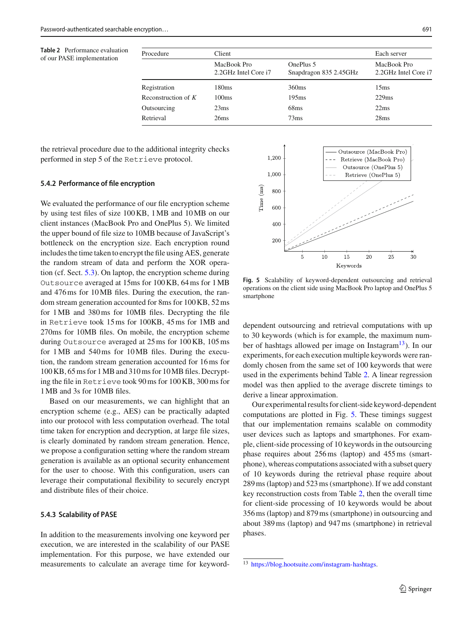<span id="page-16-0"></span>**Table 2** Performance evaluation of our PASE implementation

| Procedure             | Client                              |                                     | Each server                         |
|-----------------------|-------------------------------------|-------------------------------------|-------------------------------------|
|                       | MacBook Pro<br>2.2GHz Intel Core i7 | OnePlus 5<br>Snapdragon 835 2.45GHz | MacBook Pro<br>2.2GHz Intel Core i7 |
| Registration          | 180 <sub>ms</sub>                   | 360 <sub>ms</sub>                   | 15 <sub>ms</sub>                    |
| Reconstruction of $K$ | 100 <sub>ms</sub>                   | 195 <sub>ms</sub>                   | 229ms                               |
| Outsourcing           | 23ms                                | 68 <sub>ms</sub>                    | 22ms                                |
| Retrieval             | 26ms                                | 73ms                                | 28ms                                |

the retrieval procedure due to the additional integrity checks performed in step 5 of the Retrieve protocol.

#### **5.4.2 Performance of file encryption**

We evaluated the performance of our file encryption scheme by using test files of size 100 KB, 1MB and 10MB on our client instances (MacBook Pro and OnePlus 5). We limited the upper bound of file size to 10MB because of JavaScript's bottleneck on the encryption size. Each encryption round includes the time taken to encrypt the file using AES, generate the random stream of data and perform the XOR operation (cf. Sect. [5.3\)](#page-15-2). On laptop, the encryption scheme during Outsource averaged at 15ms for 100 KB, 64 ms for 1MB and 476 ms for 10MB files. During the execution, the random stream generation accounted for 8ms for 100 KB, 52 ms for 1MB and 380 ms for 10MB files. Decrypting the file in Retrieve took 15 ms for 100KB, 45 ms for 1MB and 270ms for 10MB files. On mobile, the encryption scheme during Outsource averaged at 25 ms for 100 KB, 105 ms for 1MB and 540 ms for 10MB files. During the execution, the random stream generation accounted for 16 ms for 100 KB, 65 ms for 1MB and 310 ms for 10MB files. Decrypting the file in Retrieve took 90 ms for 100 KB, 300 ms for 1MB and 3s for 10MB files.

Based on our measurements, we can highlight that an encryption scheme (e.g., AES) can be practically adapted into our protocol with less computation overhead. The total time taken for encryption and decryption, at large file sizes, is clearly dominated by random stream generation. Hence, we propose a configuration setting where the random stream generation is available as an optional security enhancement for the user to choose. With this configuration, users can leverage their computational flexibility to securely encrypt and distribute files of their choice.

## **5.4.3 Scalability of PASE**

In addition to the measurements involving one keyword per execution, we are interested in the scalability of our PASE implementation. For this purpose, we have extended our measurements to calculate an average time for keyword-



<span id="page-16-2"></span>**Fig. 5** Scalability of keyword-dependent outsourcing and retrieval operations on the client side using MacBook Pro laptop and OnePlus 5 smartphone

dependent outsourcing and retrieval computations with up to 30 keywords (which is for example, the maximum number of hashtags allowed per image on Instagram $13$ ). In our experiments, for each execution multiple keywords were randomly chosen from the same set of 100 keywords that were used in the experiments behind Table [2.](#page-16-0) A linear regression model was then applied to the average discrete timings to derive a linear approximation.

Our experimental results for client-side keyword-dependent computations are plotted in Fig. [5.](#page-16-2) These timings suggest that our implementation remains scalable on commodity user devices such as laptops and smartphones. For example, client-side processing of 10 keywords in the outsourcing phase requires about 256 ms (laptop) and 455 ms (smartphone), whereas computations associated with a subset query of 10 keywords during the retrieval phase require about 289 ms (laptop) and 523 ms (smartphone). If we add constant key reconstruction costs from Table [2,](#page-16-0) then the overall time for client-side processing of 10 keywords would be about 356 ms (laptop) and 879 ms (smartphone) in outsourcing and about 389 ms (laptop) and 947 ms (smartphone) in retrieval phases.

<span id="page-16-1"></span><sup>13</sup> [https://blog.hootsuite.com/instagram-hashtags.](https://blog.hootsuite.com/instagram-hashtags)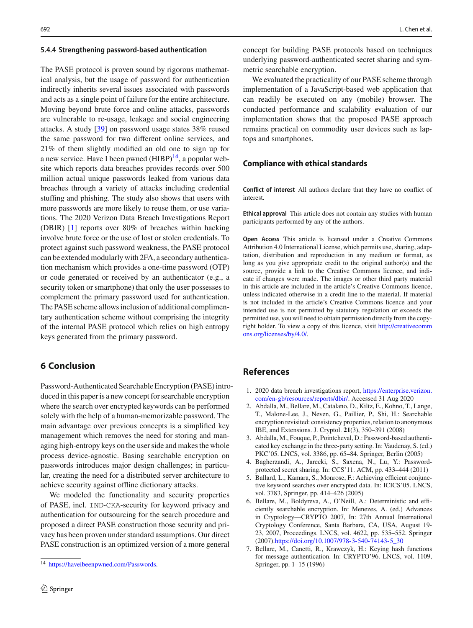#### **5.4.4 Strengthening password-based authentication**

The PASE protocol is proven sound by rigorous mathematical analysis, but the usage of password for authentication indirectly inherits several issues associated with passwords and acts as a single point of failure for the entire architecture. Moving beyond brute force and online attacks, passwords are vulnerable to re-usage, leakage and social engineering attacks. A study [\[39\]](#page-18-31) on password usage states 38% reused the same password for two different online services, and 21% of them slightly modified an old one to sign up for a new service. Have I been pwned  $(HIBP)^{14}$  $(HIBP)^{14}$  $(HIBP)^{14}$ , a popular website which reports data breaches provides records over 500 million actual unique passwords leaked from various data breaches through a variety of attacks including credential stuffing and phishing. The study also shows that users with more passwords are more likely to reuse them, or use variations. The 2020 Verizon Data Breach Investigations Report (DBIR) [\[1\]](#page-17-8) reports over 80% of breaches within hacking involve brute force or the use of lost or stolen credentials. To protect against such password weakness, the PASE protocol can be extended modularly with 2FA, a secondary authentication mechanism which provides a one-time password (OTP) or code generated or received by an authenticator (e.g., a security token or smartphone) that only the user possesses to complement the primary password used for authentication. The PASE scheme allows inclusion of additional complimentary authentication scheme without comprising the integrity of the internal PASE protocol which relies on high entropy keys generated from the primary password.

# <span id="page-17-5"></span>**6 Conclusion**

Password-Authenticated Searchable Encryption (PASE) introduced in this paper is a new concept for searchable encryption where the search over encrypted keywords can be performed solely with the help of a human-memorizable password. The main advantage over previous concepts is a simplified key management which removes the need for storing and managing high-entropy keys on the user side and makes the whole process device-agnostic. Basing searchable encryption on passwords introduces major design challenges; in particular, creating the need for a distributed server architecture to achieve security against offline dictionary attacks.

We modeled the functionality and security properties of PASE, incl. IND-CKA-security for keyword privacy and authentication for outsourcing for the search procedure and proposed a direct PASE construction those security and privacy has been proven under standard assumptions. Our direct PASE construction is an optimized version of a more general concept for building PASE protocols based on techniques underlying password-authenticated secret sharing and symmetric searchable encryption.

We evaluated the practicality of our PASE scheme through implementation of a JavaScript-based web application that can readily be executed on any (mobile) browser. The conducted performance and scalability evaluation of our implementation shows that the proposed PASE approach remains practical on commodity user devices such as laptops and smartphones.

## **Compliance with ethical standards**

**Conflict of interest** All authors declare that they have no conflict of interest.

**Ethical approval** This article does not contain any studies with human participants performed by any of the authors.

**Open Access** This article is licensed under a Creative Commons Attribution 4.0 International License, which permits use, sharing, adaptation, distribution and reproduction in any medium or format, as long as you give appropriate credit to the original author(s) and the source, provide a link to the Creative Commons licence, and indicate if changes were made. The images or other third party material in this article are included in the article's Creative Commons licence, unless indicated otherwise in a credit line to the material. If material is not included in the article's Creative Commons licence and your intended use is not permitted by statutory regulation or exceeds the permitted use, you will need to obtain permission directly from the copyright holder. To view a copy of this licence, visit [http://creativecomm](http://creativecommons.org/licenses/by/4.0/) [ons.org/licenses/by/4.0/.](http://creativecommons.org/licenses/by/4.0/)

# **References**

- <span id="page-17-8"></span>1. 2020 data breach investigations report, [https://enterprise.verizon.](https://enterprise.verizon.com/en-gb/resources/reports/dbir/) [com/en-gb/resources/reports/dbir/.](https://enterprise.verizon.com/en-gb/resources/reports/dbir/) Accessed 31 Aug 2020
- <span id="page-17-0"></span>2. Abdalla, M., Bellare, M., Catalano, D., Kiltz, E., Kohno, T., Lange, T., Malone-Lee, J., Neven, G., Paillier, P., Shi, H.: Searchable encryption revisited: consistency properties, relation to anonymous IBE, and Extensions. J. Cryptol. **21**(3), 350–391 (2008)
- <span id="page-17-4"></span>3. Abdalla, M., Fouque, P., Pointcheval, D.: Password-based authenticated key exchange in the three-party setting. In: Vaudenay, S. (ed.) PKC'05. LNCS, vol. 3386, pp. 65–84. Springer, Berlin (2005)
- <span id="page-17-3"></span>4. Bagherzandi, A., Jarecki, S., Saxena, N., Lu, Y.: Passwordprotected secret sharing. In: CCS'11. ACM, pp. 433–444 (2011)
- <span id="page-17-1"></span>5. Ballard, L., Kamara, S., Monrose, F.: Achieving efficient conjunctive keyword searches over encrypted data. In: ICICS'05. LNCS, vol. 3783, Springer, pp. 414–426 (2005)
- <span id="page-17-2"></span>6. Bellare, M., Boldyreva, A., O'Neill, A.: Deterministic and efficiently searchable encryption. In: Menezes, A. (ed.) Advances in Cryptology—CRYPTO 2007, In: 27th Annual International Cryptology Conference, Santa Barbara, CA, USA, August 19- 23, 2007, Proceedings. LNCS, vol. 4622, pp. 535–552. Springer (2007)[.https://doi.org/10.1007/978-3-540-74143-5\\_30](https://doi.org/10.1007/978-3-540-74143-5_30)
- <span id="page-17-6"></span>7. Bellare, M., Canetti, R., Krawczyk, H.: Keying hash functions for message authentication. In: CRYPTO'96. LNCS, vol. 1109, Springer, pp. 1–15 (1996)

<span id="page-17-7"></span><sup>14</sup> [https://haveibeenpwned.com/Passwords.](https://haveibeenpwned.com/Passwords)